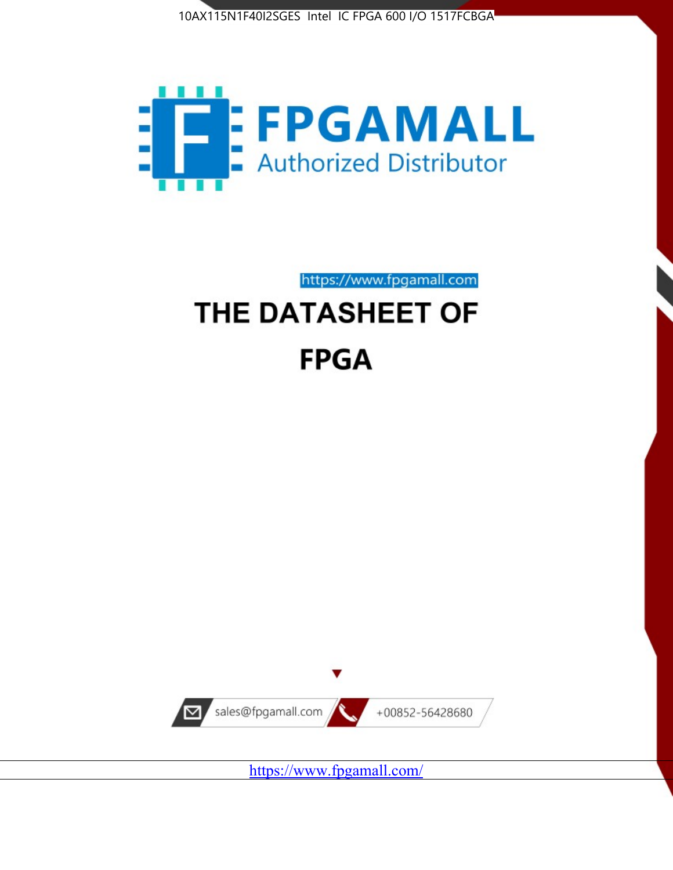



https://www.fpgamall.com

# THE DATASHEET OF **FPGA**



<https://www.fpgamall.com/>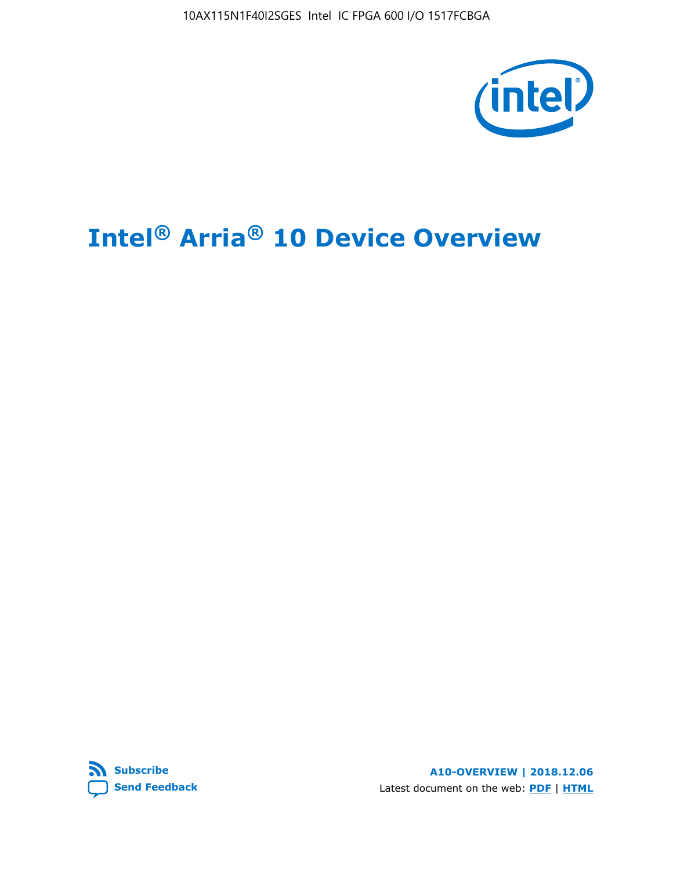10AX115N1F40I2SGES Intel IC FPGA 600 I/O 1517FCBGA



# **Intel® Arria® 10 Device Overview**



**A10-OVERVIEW | 2018.12.06** Latest document on the web: **[PDF](https://www.intel.com/content/dam/www/programmable/us/en/pdfs/literature/hb/arria-10/a10_overview.pdf)** | **[HTML](https://www.intel.com/content/www/us/en/programmable/documentation/sam1403480274650.html)**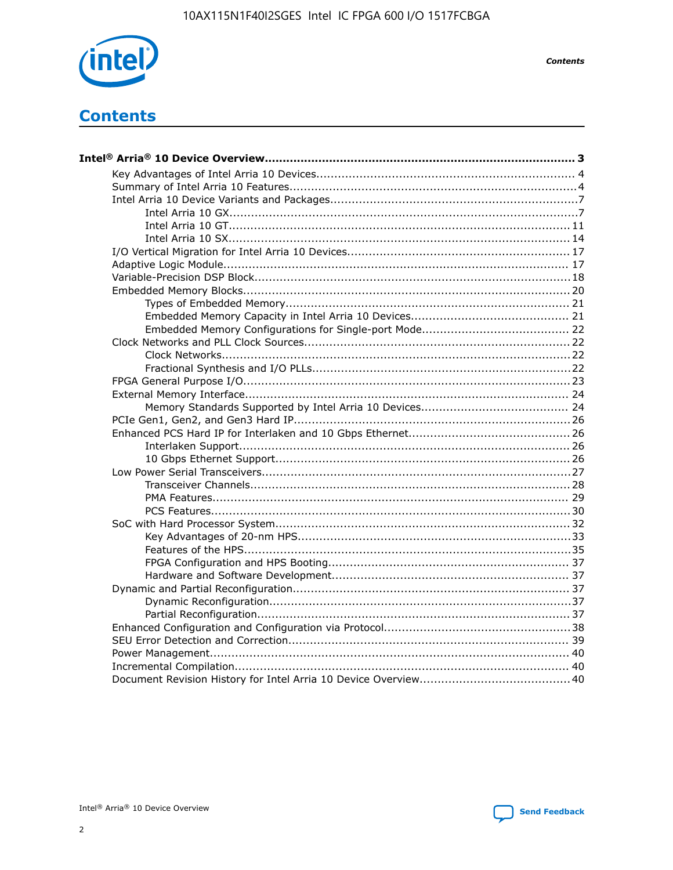

**Contents** 

# **Contents**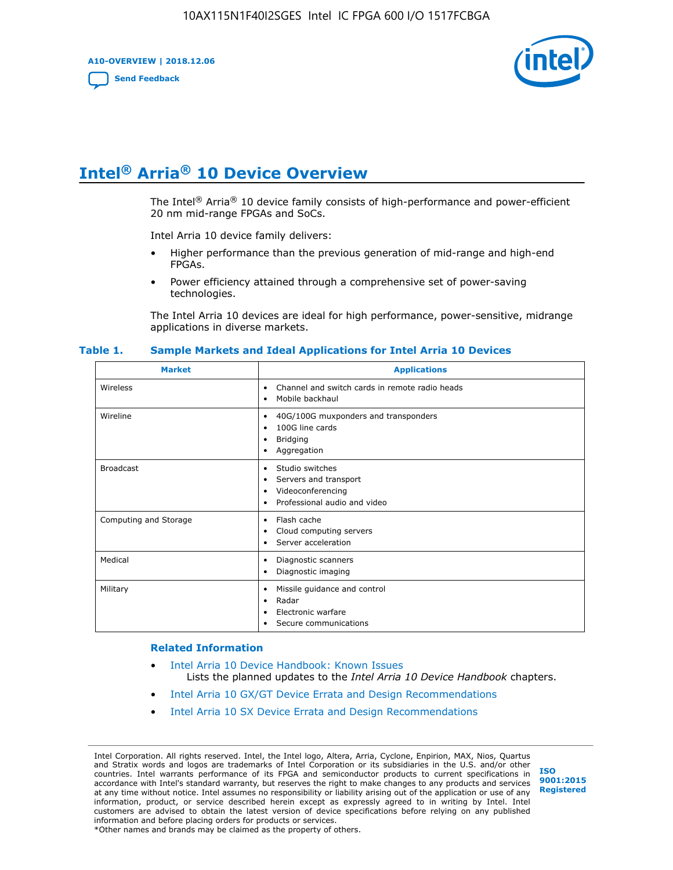**A10-OVERVIEW | 2018.12.06**

**[Send Feedback](mailto:FPGAtechdocfeedback@intel.com?subject=Feedback%20on%20Intel%20Arria%2010%20Device%20Overview%20(A10-OVERVIEW%202018.12.06)&body=We%20appreciate%20your%20feedback.%20In%20your%20comments,%20also%20specify%20the%20page%20number%20or%20paragraph.%20Thank%20you.)**



# **Intel® Arria® 10 Device Overview**

The Intel<sup>®</sup> Arria<sup>®</sup> 10 device family consists of high-performance and power-efficient 20 nm mid-range FPGAs and SoCs.

Intel Arria 10 device family delivers:

- Higher performance than the previous generation of mid-range and high-end FPGAs.
- Power efficiency attained through a comprehensive set of power-saving technologies.

The Intel Arria 10 devices are ideal for high performance, power-sensitive, midrange applications in diverse markets.

| <b>Market</b>         | <b>Applications</b>                                                                                               |
|-----------------------|-------------------------------------------------------------------------------------------------------------------|
| Wireless              | Channel and switch cards in remote radio heads<br>٠<br>Mobile backhaul<br>٠                                       |
| Wireline              | 40G/100G muxponders and transponders<br>٠<br>100G line cards<br>٠<br><b>Bridging</b><br>٠<br>Aggregation<br>٠     |
| <b>Broadcast</b>      | Studio switches<br>٠<br>Servers and transport<br>٠<br>Videoconferencing<br>٠<br>Professional audio and video<br>٠ |
| Computing and Storage | Flash cache<br>٠<br>Cloud computing servers<br>٠<br>Server acceleration<br>٠                                      |
| Medical               | Diagnostic scanners<br>٠<br>Diagnostic imaging<br>٠                                                               |
| Military              | Missile guidance and control<br>٠<br>Radar<br>٠<br>Electronic warfare<br>٠<br>Secure communications<br>٠          |

#### **Table 1. Sample Markets and Ideal Applications for Intel Arria 10 Devices**

#### **Related Information**

- [Intel Arria 10 Device Handbook: Known Issues](http://www.altera.com/support/kdb/solutions/rd07302013_646.html) Lists the planned updates to the *Intel Arria 10 Device Handbook* chapters.
- [Intel Arria 10 GX/GT Device Errata and Design Recommendations](https://www.intel.com/content/www/us/en/programmable/documentation/agz1493851706374.html#yqz1494433888646)
- [Intel Arria 10 SX Device Errata and Design Recommendations](https://www.intel.com/content/www/us/en/programmable/documentation/cru1462832385668.html#cru1462832558642)

Intel Corporation. All rights reserved. Intel, the Intel logo, Altera, Arria, Cyclone, Enpirion, MAX, Nios, Quartus and Stratix words and logos are trademarks of Intel Corporation or its subsidiaries in the U.S. and/or other countries. Intel warrants performance of its FPGA and semiconductor products to current specifications in accordance with Intel's standard warranty, but reserves the right to make changes to any products and services at any time without notice. Intel assumes no responsibility or liability arising out of the application or use of any information, product, or service described herein except as expressly agreed to in writing by Intel. Intel customers are advised to obtain the latest version of device specifications before relying on any published information and before placing orders for products or services. \*Other names and brands may be claimed as the property of others.

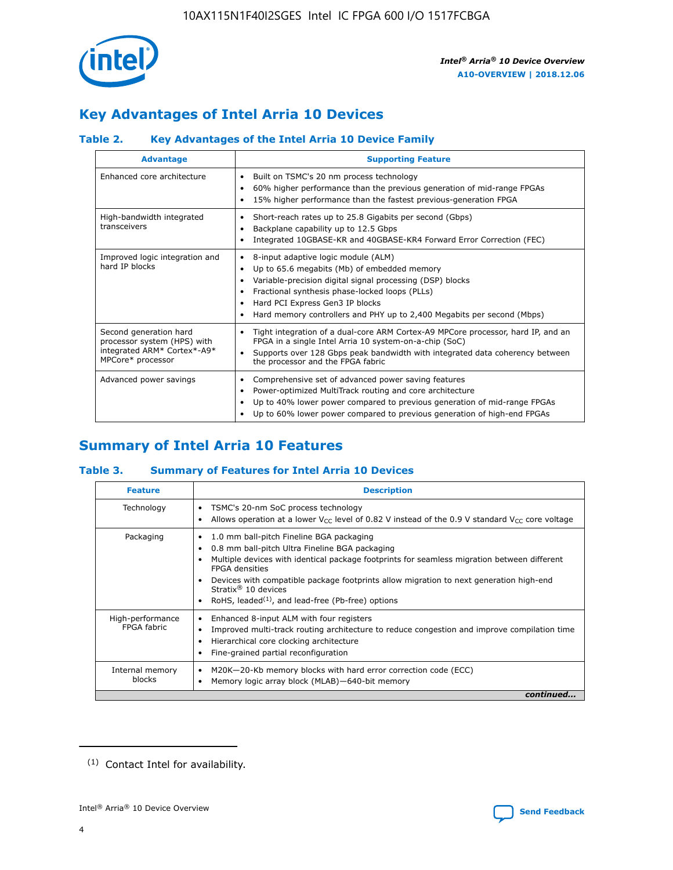

# **Key Advantages of Intel Arria 10 Devices**

# **Table 2. Key Advantages of the Intel Arria 10 Device Family**

| <b>Advantage</b>                                                                                          | <b>Supporting Feature</b>                                                                                                                                                                                                                                                                                                |
|-----------------------------------------------------------------------------------------------------------|--------------------------------------------------------------------------------------------------------------------------------------------------------------------------------------------------------------------------------------------------------------------------------------------------------------------------|
| Enhanced core architecture                                                                                | Built on TSMC's 20 nm process technology<br>٠<br>60% higher performance than the previous generation of mid-range FPGAs<br>٠<br>15% higher performance than the fastest previous-generation FPGA<br>٠                                                                                                                    |
| High-bandwidth integrated<br>transceivers                                                                 | Short-reach rates up to 25.8 Gigabits per second (Gbps)<br>٠<br>Backplane capability up to 12.5 Gbps<br>٠<br>Integrated 10GBASE-KR and 40GBASE-KR4 Forward Error Correction (FEC)<br>٠                                                                                                                                   |
| Improved logic integration and<br>hard IP blocks                                                          | 8-input adaptive logic module (ALM)<br>٠<br>Up to 65.6 megabits (Mb) of embedded memory<br>٠<br>Variable-precision digital signal processing (DSP) blocks<br>Fractional synthesis phase-locked loops (PLLs)<br>Hard PCI Express Gen3 IP blocks<br>Hard memory controllers and PHY up to 2,400 Megabits per second (Mbps) |
| Second generation hard<br>processor system (HPS) with<br>integrated ARM* Cortex*-A9*<br>MPCore* processor | Tight integration of a dual-core ARM Cortex-A9 MPCore processor, hard IP, and an<br>٠<br>FPGA in a single Intel Arria 10 system-on-a-chip (SoC)<br>Supports over 128 Gbps peak bandwidth with integrated data coherency between<br>$\bullet$<br>the processor and the FPGA fabric                                        |
| Advanced power savings                                                                                    | Comprehensive set of advanced power saving features<br>٠<br>Power-optimized MultiTrack routing and core architecture<br>٠<br>Up to 40% lower power compared to previous generation of mid-range FPGAs<br>٠<br>Up to 60% lower power compared to previous generation of high-end FPGAs                                    |

# **Summary of Intel Arria 10 Features**

## **Table 3. Summary of Features for Intel Arria 10 Devices**

| <b>Feature</b>                  | <b>Description</b>                                                                                                                                                                                                                                                                                                                                                                                 |
|---------------------------------|----------------------------------------------------------------------------------------------------------------------------------------------------------------------------------------------------------------------------------------------------------------------------------------------------------------------------------------------------------------------------------------------------|
| Technology                      | TSMC's 20-nm SoC process technology<br>Allows operation at a lower $V_{\text{CC}}$ level of 0.82 V instead of the 0.9 V standard $V_{\text{CC}}$ core voltage                                                                                                                                                                                                                                      |
| Packaging                       | 1.0 mm ball-pitch Fineline BGA packaging<br>٠<br>0.8 mm ball-pitch Ultra Fineline BGA packaging<br>Multiple devices with identical package footprints for seamless migration between different<br><b>FPGA</b> densities<br>Devices with compatible package footprints allow migration to next generation high-end<br>Stratix $@10$ devices<br>RoHS, leaded $(1)$ , and lead-free (Pb-free) options |
| High-performance<br>FPGA fabric | Enhanced 8-input ALM with four registers<br>Improved multi-track routing architecture to reduce congestion and improve compilation time<br>Hierarchical core clocking architecture<br>Fine-grained partial reconfiguration                                                                                                                                                                         |
| Internal memory<br>blocks       | M20K-20-Kb memory blocks with hard error correction code (ECC)<br>Memory logic array block (MLAB)-640-bit memory                                                                                                                                                                                                                                                                                   |
|                                 | continued                                                                                                                                                                                                                                                                                                                                                                                          |



<sup>(1)</sup> Contact Intel for availability.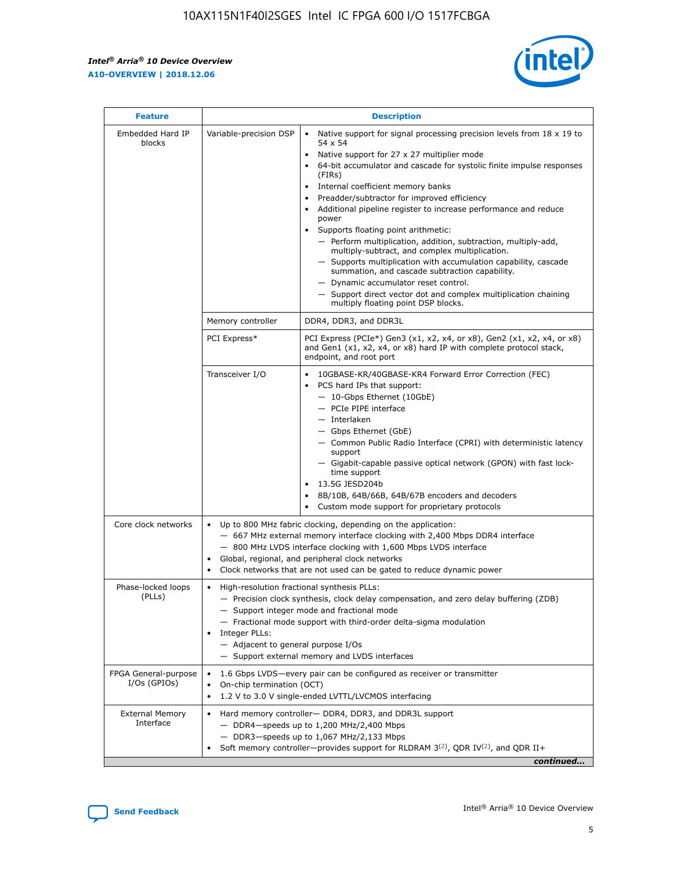$\mathsf{r}$ 



| <b>Feature</b>                         | <b>Description</b>                                                                                             |                                                                                                                                                                                                                                                                                                                                                                                                                                                                                                                                                                                                                                                                                                                                                                                                                                        |  |  |  |  |  |
|----------------------------------------|----------------------------------------------------------------------------------------------------------------|----------------------------------------------------------------------------------------------------------------------------------------------------------------------------------------------------------------------------------------------------------------------------------------------------------------------------------------------------------------------------------------------------------------------------------------------------------------------------------------------------------------------------------------------------------------------------------------------------------------------------------------------------------------------------------------------------------------------------------------------------------------------------------------------------------------------------------------|--|--|--|--|--|
| Embedded Hard IP<br>blocks             | Variable-precision DSP                                                                                         | Native support for signal processing precision levels from $18 \times 19$ to<br>54 x 54<br>Native support for 27 x 27 multiplier mode<br>64-bit accumulator and cascade for systolic finite impulse responses<br>(FIRs)<br>Internal coefficient memory banks<br>$\bullet$<br>Preadder/subtractor for improved efficiency<br>Additional pipeline register to increase performance and reduce<br>power<br>Supports floating point arithmetic:<br>- Perform multiplication, addition, subtraction, multiply-add,<br>multiply-subtract, and complex multiplication.<br>- Supports multiplication with accumulation capability, cascade<br>summation, and cascade subtraction capability.<br>- Dynamic accumulator reset control.<br>- Support direct vector dot and complex multiplication chaining<br>multiply floating point DSP blocks. |  |  |  |  |  |
|                                        | Memory controller                                                                                              | DDR4, DDR3, and DDR3L                                                                                                                                                                                                                                                                                                                                                                                                                                                                                                                                                                                                                                                                                                                                                                                                                  |  |  |  |  |  |
|                                        | PCI Express*                                                                                                   | PCI Express (PCIe*) Gen3 (x1, x2, x4, or x8), Gen2 (x1, x2, x4, or x8)<br>and Gen1 (x1, x2, x4, or x8) hard IP with complete protocol stack,<br>endpoint, and root port                                                                                                                                                                                                                                                                                                                                                                                                                                                                                                                                                                                                                                                                |  |  |  |  |  |
|                                        | Transceiver I/O                                                                                                | 10GBASE-KR/40GBASE-KR4 Forward Error Correction (FEC)<br>PCS hard IPs that support:<br>$\bullet$<br>- 10-Gbps Ethernet (10GbE)<br>- PCIe PIPE interface<br>$-$ Interlaken<br>- Gbps Ethernet (GbE)<br>- Common Public Radio Interface (CPRI) with deterministic latency<br>support<br>- Gigabit-capable passive optical network (GPON) with fast lock-<br>time support<br>13.5G JESD204b<br>$\bullet$<br>8B/10B, 64B/66B, 64B/67B encoders and decoders<br>Custom mode support for proprietary protocols                                                                                                                                                                                                                                                                                                                               |  |  |  |  |  |
| Core clock networks                    | $\bullet$<br>$\bullet$                                                                                         | Up to 800 MHz fabric clocking, depending on the application:<br>- 667 MHz external memory interface clocking with 2,400 Mbps DDR4 interface<br>- 800 MHz LVDS interface clocking with 1,600 Mbps LVDS interface<br>Global, regional, and peripheral clock networks<br>Clock networks that are not used can be gated to reduce dynamic power                                                                                                                                                                                                                                                                                                                                                                                                                                                                                            |  |  |  |  |  |
| Phase-locked loops<br>(PLLs)           | High-resolution fractional synthesis PLLs:<br>$\bullet$<br>Integer PLLs:<br>- Adjacent to general purpose I/Os | - Precision clock synthesis, clock delay compensation, and zero delay buffering (ZDB)<br>- Support integer mode and fractional mode<br>- Fractional mode support with third-order delta-sigma modulation<br>- Support external memory and LVDS interfaces                                                                                                                                                                                                                                                                                                                                                                                                                                                                                                                                                                              |  |  |  |  |  |
| FPGA General-purpose<br>$I/Os$ (GPIOs) | On-chip termination (OCT)                                                                                      | 1.6 Gbps LVDS-every pair can be configured as receiver or transmitter<br>1.2 V to 3.0 V single-ended LVTTL/LVCMOS interfacing                                                                                                                                                                                                                                                                                                                                                                                                                                                                                                                                                                                                                                                                                                          |  |  |  |  |  |
| <b>External Memory</b><br>Interface    |                                                                                                                | Hard memory controller- DDR4, DDR3, and DDR3L support<br>$-$ DDR4 $-$ speeds up to 1,200 MHz/2,400 Mbps<br>- DDR3-speeds up to 1,067 MHz/2,133 Mbps<br>Soft memory controller—provides support for RLDRAM $3^{(2)}$ , QDR IV $^{(2)}$ , and QDR II+<br>continued                                                                                                                                                                                                                                                                                                                                                                                                                                                                                                                                                                       |  |  |  |  |  |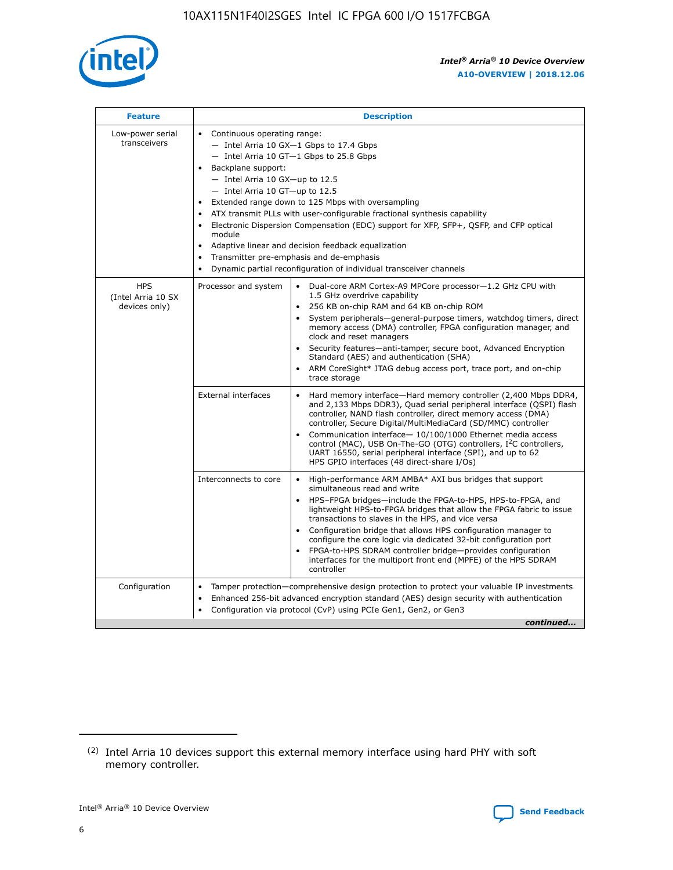

| <b>Feature</b>                                    | <b>Description</b>                                                                                                                                                                                                                                                                                                                                                                                                                                                                                                                                                                                                                                                        |
|---------------------------------------------------|---------------------------------------------------------------------------------------------------------------------------------------------------------------------------------------------------------------------------------------------------------------------------------------------------------------------------------------------------------------------------------------------------------------------------------------------------------------------------------------------------------------------------------------------------------------------------------------------------------------------------------------------------------------------------|
| Low-power serial<br>transceivers                  | • Continuous operating range:<br>- Intel Arria 10 GX-1 Gbps to 17.4 Gbps<br>$-$ Intel Arria 10 GT $-1$ Gbps to 25.8 Gbps<br>Backplane support:<br>$\bullet$<br>$-$ Intel Arria 10 GX-up to 12.5<br>$-$ Intel Arria 10 GT-up to 12.5<br>Extended range down to 125 Mbps with oversampling<br>ATX transmit PLLs with user-configurable fractional synthesis capability<br>Electronic Dispersion Compensation (EDC) support for XFP, SFP+, OSFP, and CFP optical<br>module<br>Adaptive linear and decision feedback equalization<br>$\bullet$<br>Transmitter pre-emphasis and de-emphasis<br>$\bullet$<br>Dynamic partial reconfiguration of individual transceiver channels |
| <b>HPS</b><br>(Intel Arria 10 SX<br>devices only) | Dual-core ARM Cortex-A9 MPCore processor-1.2 GHz CPU with<br>Processor and system<br>$\bullet$<br>1.5 GHz overdrive capability<br>256 KB on-chip RAM and 64 KB on-chip ROM<br>System peripherals-general-purpose timers, watchdog timers, direct<br>memory access (DMA) controller, FPGA configuration manager, and<br>clock and reset managers<br>• Security features—anti-tamper, secure boot, Advanced Encryption<br>Standard (AES) and authentication (SHA)<br>ARM CoreSight* JTAG debug access port, trace port, and on-chip<br>$\bullet$<br>trace storage                                                                                                           |
|                                                   | <b>External interfaces</b><br>Hard memory interface—Hard memory controller (2,400 Mbps DDR4,<br>and 2,133 Mbps DDR3), Quad serial peripheral interface (QSPI) flash<br>controller, NAND flash controller, direct memory access (DMA)<br>controller, Secure Digital/MultiMediaCard (SD/MMC) controller<br>Communication interface-10/100/1000 Ethernet media access<br>$\bullet$<br>control (MAC), USB On-The-GO (OTG) controllers, I <sup>2</sup> C controllers,<br>UART 16550, serial peripheral interface (SPI), and up to 62<br>HPS GPIO interfaces (48 direct-share I/Os)                                                                                             |
|                                                   | Interconnects to core<br>• High-performance ARM AMBA* AXI bus bridges that support<br>simultaneous read and write<br>HPS-FPGA bridges-include the FPGA-to-HPS, HPS-to-FPGA, and<br>$\bullet$<br>lightweight HPS-to-FPGA bridges that allow the FPGA fabric to issue<br>transactions to slaves in the HPS, and vice versa<br>Configuration bridge that allows HPS configuration manager to<br>configure the core logic via dedicated 32-bit configuration port<br>FPGA-to-HPS SDRAM controller bridge-provides configuration<br>interfaces for the multiport front end (MPFE) of the HPS SDRAM<br>controller                                                               |
| Configuration                                     | Tamper protection—comprehensive design protection to protect your valuable IP investments<br>Enhanced 256-bit advanced encryption standard (AES) design security with authentication<br>$\bullet$<br>Configuration via protocol (CvP) using PCIe Gen1, Gen2, or Gen3<br>continued                                                                                                                                                                                                                                                                                                                                                                                         |

<sup>(2)</sup> Intel Arria 10 devices support this external memory interface using hard PHY with soft memory controller.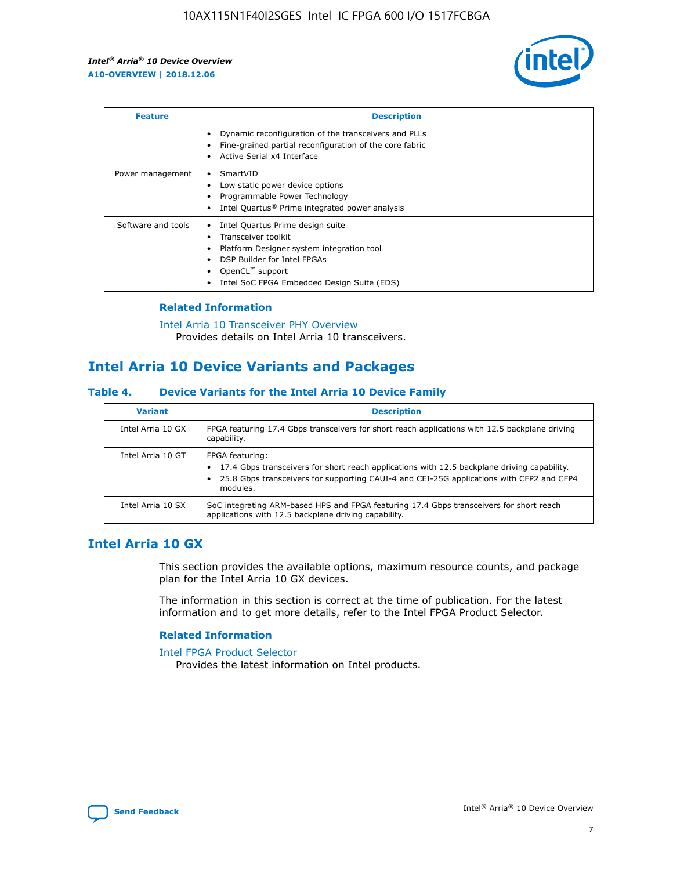

| <b>Feature</b>     | <b>Description</b>                                                                                                                                                                                                    |
|--------------------|-----------------------------------------------------------------------------------------------------------------------------------------------------------------------------------------------------------------------|
|                    | Dynamic reconfiguration of the transceivers and PLLs<br>Fine-grained partial reconfiguration of the core fabric<br>Active Serial x4 Interface                                                                         |
| Power management   | SmartVID<br>Low static power device options<br>Programmable Power Technology<br>Intel Quartus <sup>®</sup> Prime integrated power analysis                                                                            |
| Software and tools | Intel Quartus Prime design suite<br>Transceiver toolkit<br>٠<br>Platform Designer system integration tool<br>DSP Builder for Intel FPGAs<br>OpenCL <sup>™</sup> support<br>Intel SoC FPGA Embedded Design Suite (EDS) |

## **Related Information**

[Intel Arria 10 Transceiver PHY Overview](https://www.intel.com/content/www/us/en/programmable/documentation/nik1398707230472.html#nik1398706768037) Provides details on Intel Arria 10 transceivers.

# **Intel Arria 10 Device Variants and Packages**

#### **Table 4. Device Variants for the Intel Arria 10 Device Family**

| <b>Variant</b>    | <b>Description</b>                                                                                                                                                                                                     |
|-------------------|------------------------------------------------------------------------------------------------------------------------------------------------------------------------------------------------------------------------|
| Intel Arria 10 GX | FPGA featuring 17.4 Gbps transceivers for short reach applications with 12.5 backplane driving<br>capability.                                                                                                          |
| Intel Arria 10 GT | FPGA featuring:<br>17.4 Gbps transceivers for short reach applications with 12.5 backplane driving capability.<br>25.8 Gbps transceivers for supporting CAUI-4 and CEI-25G applications with CFP2 and CFP4<br>modules. |
| Intel Arria 10 SX | SoC integrating ARM-based HPS and FPGA featuring 17.4 Gbps transceivers for short reach<br>applications with 12.5 backplane driving capability.                                                                        |

# **Intel Arria 10 GX**

This section provides the available options, maximum resource counts, and package plan for the Intel Arria 10 GX devices.

The information in this section is correct at the time of publication. For the latest information and to get more details, refer to the Intel FPGA Product Selector.

#### **Related Information**

#### [Intel FPGA Product Selector](http://www.altera.com/products/selector/psg-selector.html) Provides the latest information on Intel products.

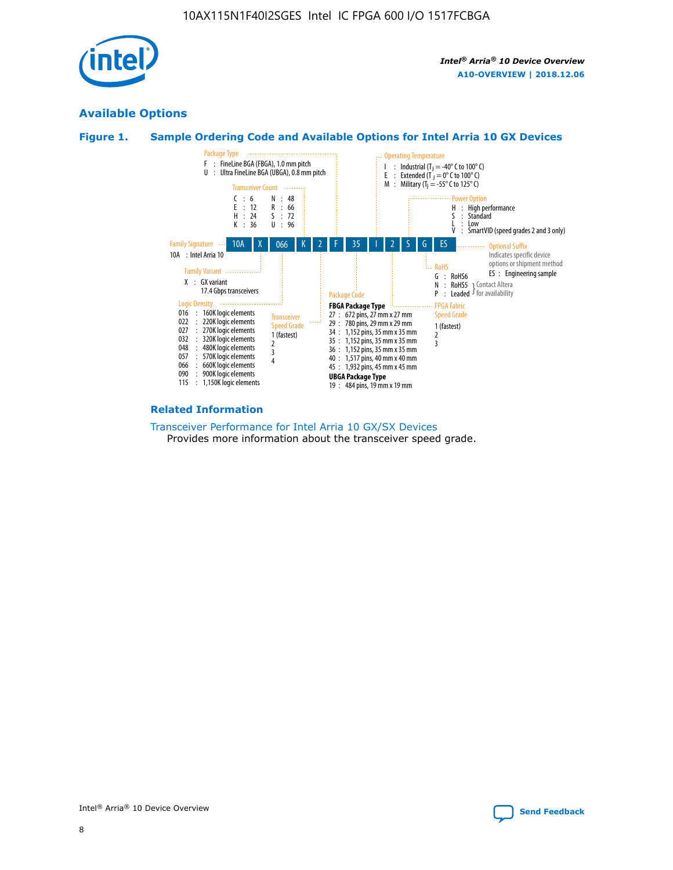

# **Available Options**





#### **Related Information**

[Transceiver Performance for Intel Arria 10 GX/SX Devices](https://www.intel.com/content/www/us/en/programmable/documentation/mcn1413182292568.html#mcn1413213965502) Provides more information about the transceiver speed grade.

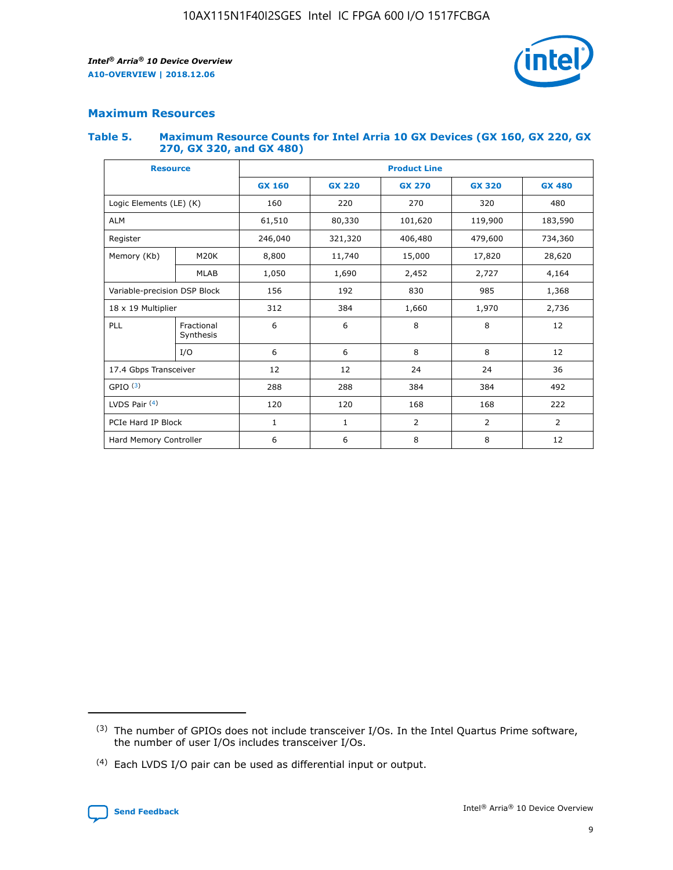

# **Maximum Resources**

#### **Table 5. Maximum Resource Counts for Intel Arria 10 GX Devices (GX 160, GX 220, GX 270, GX 320, and GX 480)**

| <b>Resource</b>              |                         | <b>Product Line</b> |                                                 |                    |                |                |  |  |  |
|------------------------------|-------------------------|---------------------|-------------------------------------------------|--------------------|----------------|----------------|--|--|--|
|                              |                         | <b>GX 160</b>       | <b>GX 220</b><br><b>GX 270</b><br><b>GX 320</b> |                    |                | <b>GX 480</b>  |  |  |  |
| Logic Elements (LE) (K)      |                         | 160                 | 220                                             | 270                | 320            | 480            |  |  |  |
| <b>ALM</b>                   |                         | 61,510              | 80,330                                          | 101,620            | 119,900        | 183,590        |  |  |  |
| Register                     |                         | 246,040             | 321,320                                         | 406,480<br>479,600 |                | 734,360        |  |  |  |
| Memory (Kb)                  | M <sub>20</sub> K       | 8,800               | 11,740                                          | 15,000             | 17,820         | 28,620         |  |  |  |
|                              | <b>MLAB</b>             | 1,050               | 1,690                                           | 2,452              | 2,727          | 4,164          |  |  |  |
| Variable-precision DSP Block |                         | 156                 | 192                                             | 830                | 985            |                |  |  |  |
| 18 x 19 Multiplier           |                         | 312                 | 384                                             | 1,660<br>1,970     |                | 2,736          |  |  |  |
| PLL                          | Fractional<br>Synthesis | 6                   | 6                                               | 8                  | 8              | 12             |  |  |  |
|                              | I/O                     | 6                   | 6                                               | 8                  | 8              | 12             |  |  |  |
| 17.4 Gbps Transceiver        |                         | 12                  | 12                                              | 24                 | 24             | 36             |  |  |  |
| GPIO <sup>(3)</sup>          |                         | 288                 | 288                                             | 384<br>384         |                | 492            |  |  |  |
| LVDS Pair $(4)$              |                         | 120                 | 120                                             | 168                | 168            | 222            |  |  |  |
| PCIe Hard IP Block           |                         | $\mathbf{1}$        | 1                                               | $\overline{2}$     | $\overline{2}$ | $\overline{2}$ |  |  |  |
| Hard Memory Controller       |                         | 6                   | 6                                               | 8                  | 8              | 12             |  |  |  |

<sup>(4)</sup> Each LVDS I/O pair can be used as differential input or output.



<sup>(3)</sup> The number of GPIOs does not include transceiver I/Os. In the Intel Quartus Prime software, the number of user I/Os includes transceiver I/Os.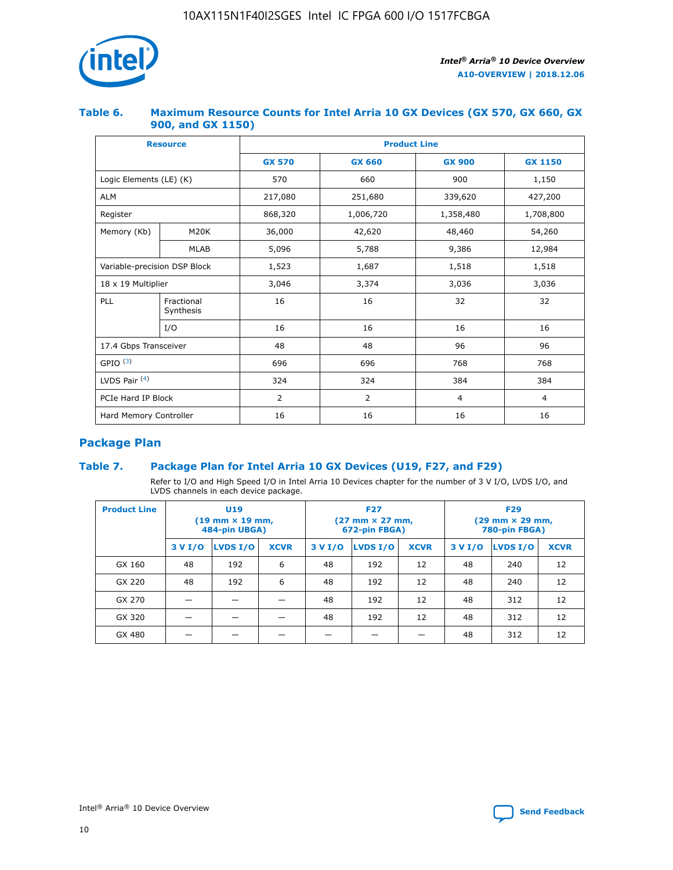

## **Table 6. Maximum Resource Counts for Intel Arria 10 GX Devices (GX 570, GX 660, GX 900, and GX 1150)**

|                              | <b>Resource</b>         | <b>Product Line</b> |                |                |                |  |  |  |
|------------------------------|-------------------------|---------------------|----------------|----------------|----------------|--|--|--|
|                              |                         | <b>GX 570</b>       | <b>GX 660</b>  | <b>GX 900</b>  | <b>GX 1150</b> |  |  |  |
| Logic Elements (LE) (K)      |                         | 570                 | 660            | 900            | 1,150          |  |  |  |
| <b>ALM</b>                   |                         | 217,080             | 251,680        | 339,620        | 427,200        |  |  |  |
| Register                     |                         | 868,320             | 1,006,720      |                | 1,708,800      |  |  |  |
| Memory (Kb)                  | M <sub>20</sub> K       | 36,000              | 42,620         | 48,460         | 54,260         |  |  |  |
|                              | <b>MLAB</b>             | 5,096               | 5,788          | 9,386          | 12,984         |  |  |  |
| Variable-precision DSP Block |                         | 1,523               | 1,687          | 1,518          | 1,518          |  |  |  |
| 18 x 19 Multiplier           |                         | 3,046               | 3,374<br>3,036 |                | 3,036          |  |  |  |
| PLL                          | Fractional<br>Synthesis | 16                  | 16             | 32             | 32             |  |  |  |
|                              | I/O                     | 16                  | 16             | 16             | 16             |  |  |  |
| 17.4 Gbps Transceiver        |                         | 48                  | 48             | 96             | 96             |  |  |  |
| GPIO <sup>(3)</sup>          |                         | 696                 | 696            | 768            | 768            |  |  |  |
| LVDS Pair $(4)$              |                         | 324                 | 324            | 384            | 384            |  |  |  |
| PCIe Hard IP Block           |                         | $\overline{2}$      | 2              | $\overline{4}$ | 4              |  |  |  |
| Hard Memory Controller       |                         | 16                  | 16             | 16             | 16             |  |  |  |

# **Package Plan**

# **Table 7. Package Plan for Intel Arria 10 GX Devices (U19, F27, and F29)**

Refer to I/O and High Speed I/O in Intel Arria 10 Devices chapter for the number of 3 V I/O, LVDS I/O, and LVDS channels in each device package.

| <b>Product Line</b> | U <sub>19</sub><br>$(19 \text{ mm} \times 19 \text{ mm})$<br>484-pin UBGA) |          |             |         | <b>F27</b><br>(27 mm × 27 mm,<br>672-pin FBGA) |             | <b>F29</b><br>(29 mm × 29 mm,<br>780-pin FBGA) |          |             |  |
|---------------------|----------------------------------------------------------------------------|----------|-------------|---------|------------------------------------------------|-------------|------------------------------------------------|----------|-------------|--|
|                     | 3 V I/O                                                                    | LVDS I/O | <b>XCVR</b> | 3 V I/O | LVDS I/O                                       | <b>XCVR</b> | 3 V I/O                                        | LVDS I/O | <b>XCVR</b> |  |
| GX 160              | 48                                                                         | 192      | 6           | 48      | 192                                            | 12          | 48                                             | 240      | 12          |  |
| GX 220              | 48                                                                         | 192      | 6           | 48      | 192                                            | 12          | 48                                             | 240      | 12          |  |
| GX 270              |                                                                            |          |             | 48      | 192                                            | 12          | 48                                             | 312      | 12          |  |
| GX 320              |                                                                            |          |             | 48      | 192                                            | 12          | 48                                             | 312      | 12          |  |
| GX 480              |                                                                            |          |             |         |                                                |             | 48                                             | 312      | 12          |  |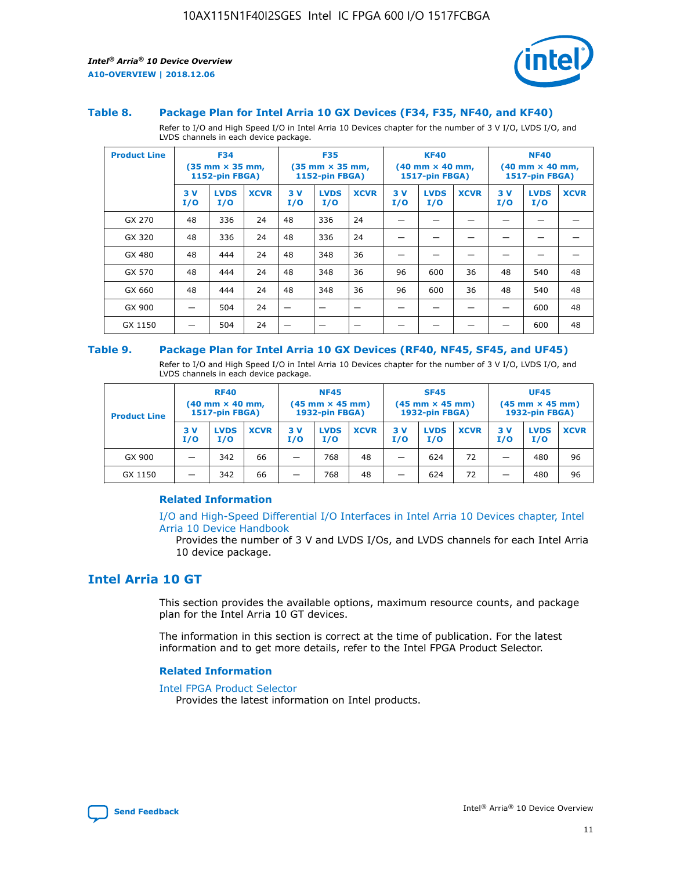

#### **Table 8. Package Plan for Intel Arria 10 GX Devices (F34, F35, NF40, and KF40)**

Refer to I/O and High Speed I/O in Intel Arria 10 Devices chapter for the number of 3 V I/O, LVDS I/O, and LVDS channels in each device package.

| <b>Product Line</b> | <b>F34</b><br>$(35 \text{ mm} \times 35 \text{ mm})$<br>1152-pin FBGA) |                    | <b>F35</b><br>$(35 \text{ mm} \times 35 \text{ mm})$<br><b>1152-pin FBGA)</b> |           | <b>KF40</b><br>$(40 \text{ mm} \times 40 \text{ mm})$<br>1517-pin FBGA) |             |            | <b>NF40</b><br>$(40 \text{ mm} \times 40 \text{ mm})$<br><b>1517-pin FBGA)</b> |             |            |                    |             |
|---------------------|------------------------------------------------------------------------|--------------------|-------------------------------------------------------------------------------|-----------|-------------------------------------------------------------------------|-------------|------------|--------------------------------------------------------------------------------|-------------|------------|--------------------|-------------|
|                     | 3V<br>I/O                                                              | <b>LVDS</b><br>I/O | <b>XCVR</b>                                                                   | 3V<br>I/O | <b>LVDS</b><br>I/O                                                      | <b>XCVR</b> | 3 V<br>I/O | <b>LVDS</b><br>I/O                                                             | <b>XCVR</b> | 3 V<br>I/O | <b>LVDS</b><br>I/O | <b>XCVR</b> |
| GX 270              | 48                                                                     | 336                | 24                                                                            | 48        | 336                                                                     | 24          |            |                                                                                |             |            |                    |             |
| GX 320              | 48                                                                     | 336                | 24                                                                            | 48        | 336                                                                     | 24          |            |                                                                                |             |            |                    |             |
| GX 480              | 48                                                                     | 444                | 24                                                                            | 48        | 348                                                                     | 36          |            |                                                                                |             |            |                    |             |
| GX 570              | 48                                                                     | 444                | 24                                                                            | 48        | 348                                                                     | 36          | 96         | 600                                                                            | 36          | 48         | 540                | 48          |
| GX 660              | 48                                                                     | 444                | 24                                                                            | 48        | 348                                                                     | 36          | 96         | 600                                                                            | 36          | 48         | 540                | 48          |
| GX 900              |                                                                        | 504                | 24                                                                            | -         |                                                                         |             |            |                                                                                |             |            | 600                | 48          |
| GX 1150             |                                                                        | 504                | 24                                                                            |           |                                                                         |             |            |                                                                                |             |            | 600                | 48          |

#### **Table 9. Package Plan for Intel Arria 10 GX Devices (RF40, NF45, SF45, and UF45)**

Refer to I/O and High Speed I/O in Intel Arria 10 Devices chapter for the number of 3 V I/O, LVDS I/O, and LVDS channels in each device package.

| <b>Product Line</b> | <b>RF40</b><br>$(40$ mm $\times$ 40 mm,<br>1517-pin FBGA) |                    | <b>NF45</b><br>$(45 \text{ mm} \times 45 \text{ mm})$<br><b>1932-pin FBGA)</b> |            |                    | <b>SF45</b><br>$(45 \text{ mm} \times 45 \text{ mm})$<br><b>1932-pin FBGA)</b> |            |                    | <b>UF45</b><br>$(45 \text{ mm} \times 45 \text{ mm})$<br><b>1932-pin FBGA)</b> |           |                    |             |
|---------------------|-----------------------------------------------------------|--------------------|--------------------------------------------------------------------------------|------------|--------------------|--------------------------------------------------------------------------------|------------|--------------------|--------------------------------------------------------------------------------|-----------|--------------------|-------------|
|                     | 3V<br>I/O                                                 | <b>LVDS</b><br>I/O | <b>XCVR</b>                                                                    | 3 V<br>I/O | <b>LVDS</b><br>I/O | <b>XCVR</b>                                                                    | 3 V<br>I/O | <b>LVDS</b><br>I/O | <b>XCVR</b>                                                                    | 3V<br>I/O | <b>LVDS</b><br>I/O | <b>XCVR</b> |
| GX 900              |                                                           | 342                | 66                                                                             | _          | 768                | 48                                                                             |            | 624                | 72                                                                             |           | 480                | 96          |
| GX 1150             |                                                           | 342                | 66                                                                             | _          | 768                | 48                                                                             |            | 624                | 72                                                                             |           | 480                | 96          |

### **Related Information**

[I/O and High-Speed Differential I/O Interfaces in Intel Arria 10 Devices chapter, Intel](https://www.intel.com/content/www/us/en/programmable/documentation/sam1403482614086.html#sam1403482030321) [Arria 10 Device Handbook](https://www.intel.com/content/www/us/en/programmable/documentation/sam1403482614086.html#sam1403482030321)

Provides the number of 3 V and LVDS I/Os, and LVDS channels for each Intel Arria 10 device package.

# **Intel Arria 10 GT**

This section provides the available options, maximum resource counts, and package plan for the Intel Arria 10 GT devices.

The information in this section is correct at the time of publication. For the latest information and to get more details, refer to the Intel FPGA Product Selector.

#### **Related Information**

#### [Intel FPGA Product Selector](http://www.altera.com/products/selector/psg-selector.html)

Provides the latest information on Intel products.

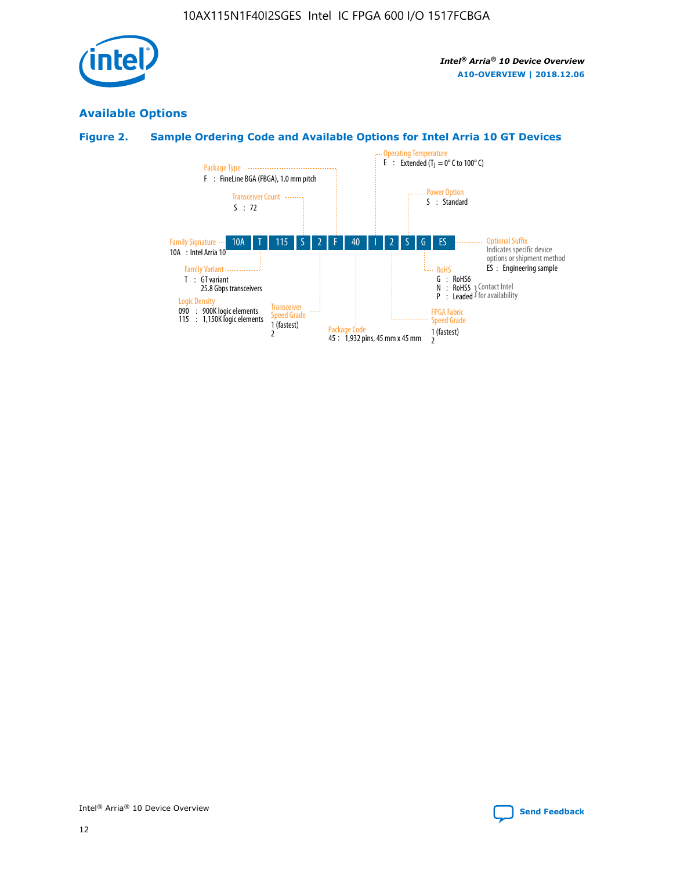

# **Available Options**

# **Figure 2. Sample Ordering Code and Available Options for Intel Arria 10 GT Devices**

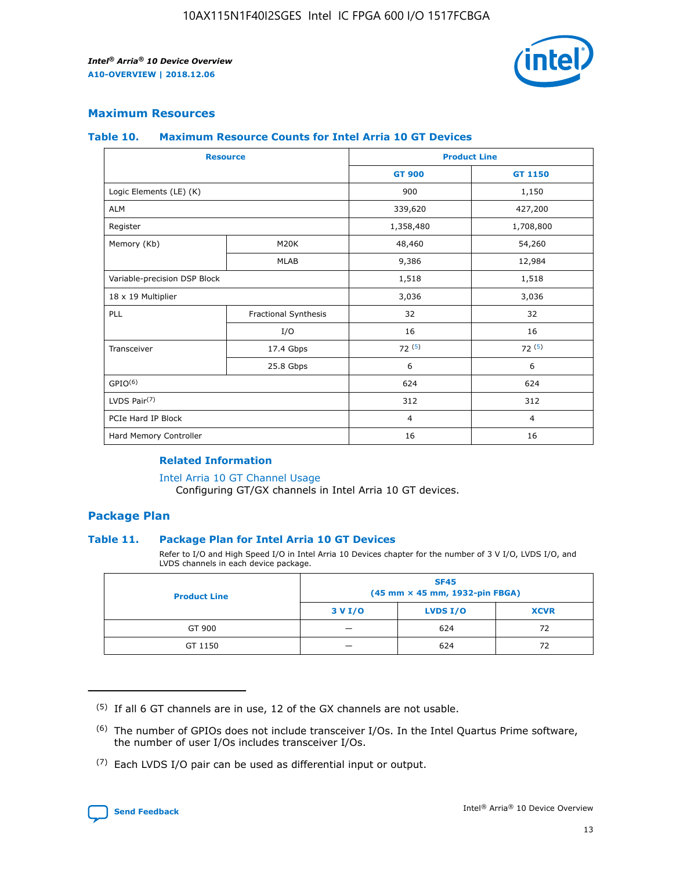

## **Maximum Resources**

#### **Table 10. Maximum Resource Counts for Intel Arria 10 GT Devices**

| <b>Resource</b>              |                      |                | <b>Product Line</b> |  |
|------------------------------|----------------------|----------------|---------------------|--|
|                              |                      | <b>GT 900</b>  | GT 1150             |  |
| Logic Elements (LE) (K)      |                      | 900            | 1,150               |  |
| <b>ALM</b>                   |                      | 339,620        | 427,200             |  |
| Register                     |                      | 1,358,480      | 1,708,800           |  |
| Memory (Kb)                  | M20K                 | 48,460         | 54,260              |  |
|                              | <b>MLAB</b>          | 9,386          | 12,984              |  |
| Variable-precision DSP Block |                      | 1,518          | 1,518               |  |
| 18 x 19 Multiplier           |                      | 3,036          | 3,036               |  |
| <b>PLL</b>                   | Fractional Synthesis | 32             | 32                  |  |
|                              | I/O                  | 16             | 16                  |  |
| Transceiver                  | 17.4 Gbps            | 72(5)          | 72(5)               |  |
|                              | 25.8 Gbps            | 6              | 6                   |  |
| GPIO <sup>(6)</sup>          |                      | 624            | 624                 |  |
| LVDS Pair $(7)$              |                      | 312            | 312                 |  |
| PCIe Hard IP Block           |                      | $\overline{4}$ | $\overline{4}$      |  |
| Hard Memory Controller       |                      | 16             | 16                  |  |

### **Related Information**

#### [Intel Arria 10 GT Channel Usage](https://www.intel.com/content/www/us/en/programmable/documentation/nik1398707230472.html#nik1398707008178)

Configuring GT/GX channels in Intel Arria 10 GT devices.

## **Package Plan**

#### **Table 11. Package Plan for Intel Arria 10 GT Devices**

Refer to I/O and High Speed I/O in Intel Arria 10 Devices chapter for the number of 3 V I/O, LVDS I/O, and LVDS channels in each device package.

| <b>Product Line</b> | <b>SF45</b><br>(45 mm × 45 mm, 1932-pin FBGA) |                 |             |  |  |  |
|---------------------|-----------------------------------------------|-----------------|-------------|--|--|--|
|                     | 3 V I/O                                       | <b>LVDS I/O</b> | <b>XCVR</b> |  |  |  |
| GT 900              |                                               | 624             | 72          |  |  |  |
| GT 1150             |                                               | 624             | 72          |  |  |  |

<sup>(7)</sup> Each LVDS I/O pair can be used as differential input or output.



 $(5)$  If all 6 GT channels are in use, 12 of the GX channels are not usable.

<sup>(6)</sup> The number of GPIOs does not include transceiver I/Os. In the Intel Quartus Prime software, the number of user I/Os includes transceiver I/Os.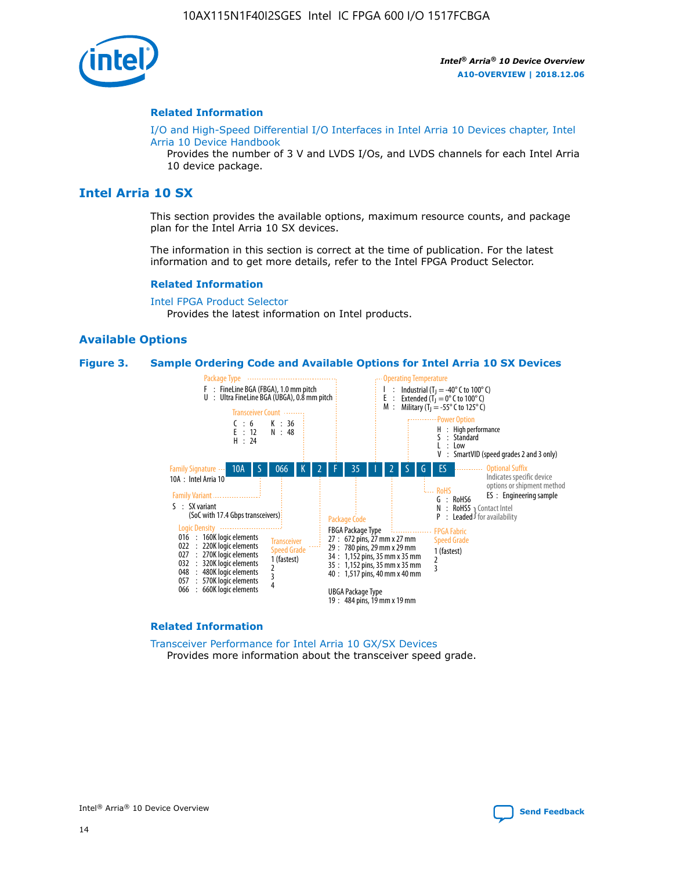

#### **Related Information**

[I/O and High-Speed Differential I/O Interfaces in Intel Arria 10 Devices chapter, Intel](https://www.intel.com/content/www/us/en/programmable/documentation/sam1403482614086.html#sam1403482030321) [Arria 10 Device Handbook](https://www.intel.com/content/www/us/en/programmable/documentation/sam1403482614086.html#sam1403482030321)

Provides the number of 3 V and LVDS I/Os, and LVDS channels for each Intel Arria 10 device package.

# **Intel Arria 10 SX**

This section provides the available options, maximum resource counts, and package plan for the Intel Arria 10 SX devices.

The information in this section is correct at the time of publication. For the latest information and to get more details, refer to the Intel FPGA Product Selector.

#### **Related Information**

[Intel FPGA Product Selector](http://www.altera.com/products/selector/psg-selector.html) Provides the latest information on Intel products.

## **Available Options**

#### **Figure 3. Sample Ordering Code and Available Options for Intel Arria 10 SX Devices**



#### **Related Information**

[Transceiver Performance for Intel Arria 10 GX/SX Devices](https://www.intel.com/content/www/us/en/programmable/documentation/mcn1413182292568.html#mcn1413213965502) Provides more information about the transceiver speed grade.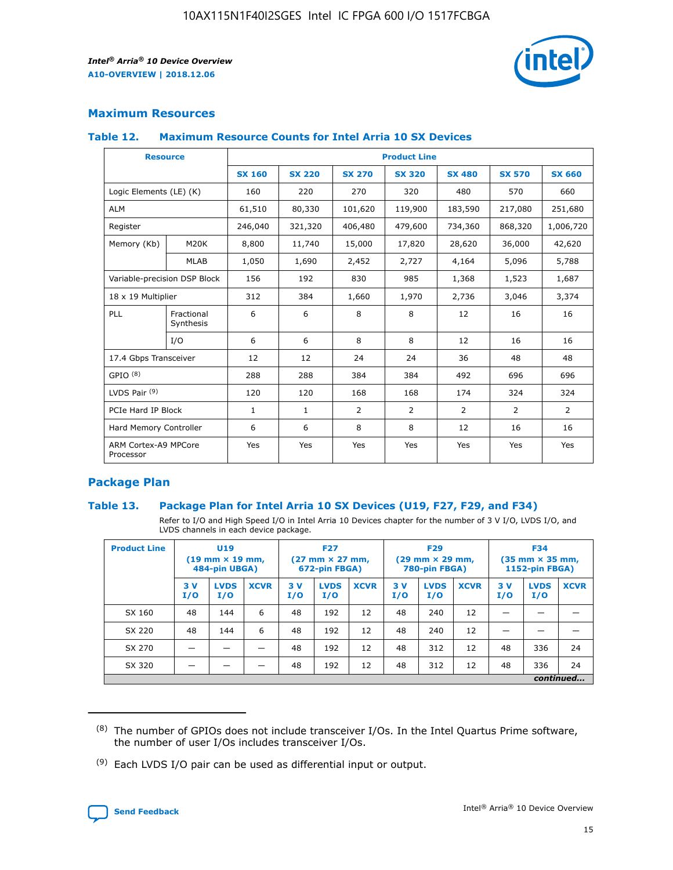

# **Maximum Resources**

#### **Table 12. Maximum Resource Counts for Intel Arria 10 SX Devices**

|                                   | <b>Resource</b>         | <b>Product Line</b> |               |                |                |                |                |                |  |  |  |
|-----------------------------------|-------------------------|---------------------|---------------|----------------|----------------|----------------|----------------|----------------|--|--|--|
|                                   |                         | <b>SX 160</b>       | <b>SX 220</b> | <b>SX 270</b>  | <b>SX 320</b>  | <b>SX 480</b>  | <b>SX 570</b>  | <b>SX 660</b>  |  |  |  |
| Logic Elements (LE) (K)           |                         | 160                 | 220           | 270            | 320            | 480            | 570            | 660            |  |  |  |
| <b>ALM</b>                        |                         | 61,510              | 80,330        | 101,620        | 119,900        | 183,590        | 217,080        | 251,680        |  |  |  |
| Register                          |                         | 246,040             | 321,320       | 406,480        | 479,600        | 734,360        | 868,320        | 1,006,720      |  |  |  |
| Memory (Kb)                       | M <sub>20</sub> K       | 8,800               | 11,740        | 15,000         | 17,820         | 28,620         | 36,000         | 42,620         |  |  |  |
|                                   | <b>MLAB</b>             | 1,050               | 1,690         | 2,452          | 2,727          | 4,164          | 5,096          | 5,788          |  |  |  |
| Variable-precision DSP Block      |                         | 156                 | 192           | 830            | 985            | 1,368          | 1,523          | 1,687          |  |  |  |
| 18 x 19 Multiplier                |                         | 312                 | 384           | 1,660          | 1,970          | 2,736          | 3,046          | 3,374          |  |  |  |
| <b>PLL</b>                        | Fractional<br>Synthesis | 6                   | 6             | 8              | 8              | 12             | 16             | 16             |  |  |  |
|                                   | I/O                     | 6                   | 6             | 8              | 8              | 12             | 16             | 16             |  |  |  |
| 17.4 Gbps Transceiver             |                         | 12                  | 12            | 24             | 24             | 36             | 48             | 48             |  |  |  |
| GPIO <sup>(8)</sup>               |                         | 288                 | 288           | 384            | 384            | 492            | 696            | 696            |  |  |  |
| LVDS Pair $(9)$                   |                         | 120                 | 120           | 168            | 168            | 174            | 324            | 324            |  |  |  |
| PCIe Hard IP Block                |                         | $\mathbf{1}$        | $\mathbf{1}$  | $\overline{2}$ | $\overline{2}$ | $\overline{2}$ | $\overline{2}$ | $\overline{2}$ |  |  |  |
| Hard Memory Controller            |                         | 6                   | 6             | 8              | 8              | 12             | 16             | 16             |  |  |  |
| ARM Cortex-A9 MPCore<br>Processor |                         | Yes                 | Yes           | Yes            | Yes            | Yes            | Yes            | Yes            |  |  |  |

# **Package Plan**

#### **Table 13. Package Plan for Intel Arria 10 SX Devices (U19, F27, F29, and F34)**

Refer to I/O and High Speed I/O in Intel Arria 10 Devices chapter for the number of 3 V I/O, LVDS I/O, and LVDS channels in each device package.

| <b>Product Line</b> | U <sub>19</sub><br>$(19 \text{ mm} \times 19 \text{ mm})$ .<br>484-pin UBGA) |                    |             | <b>F27</b><br>$(27 \text{ mm} \times 27 \text{ mm})$<br>672-pin FBGA) |                    | <b>F29</b><br>$(29 \text{ mm} \times 29 \text{ mm})$<br>780-pin FBGA) |           |                    | <b>F34</b><br>$(35 \text{ mm} \times 35 \text{ mm})$<br><b>1152-pin FBGA)</b> |           |                    |             |
|---------------------|------------------------------------------------------------------------------|--------------------|-------------|-----------------------------------------------------------------------|--------------------|-----------------------------------------------------------------------|-----------|--------------------|-------------------------------------------------------------------------------|-----------|--------------------|-------------|
|                     | 3V<br>I/O                                                                    | <b>LVDS</b><br>I/O | <b>XCVR</b> | 3V<br>I/O                                                             | <b>LVDS</b><br>I/O | <b>XCVR</b>                                                           | 3V<br>I/O | <b>LVDS</b><br>I/O | <b>XCVR</b>                                                                   | 3V<br>I/O | <b>LVDS</b><br>I/O | <b>XCVR</b> |
| SX 160              | 48                                                                           | 144                | 6           | 48                                                                    | 192                | 12                                                                    | 48        | 240                | 12                                                                            |           |                    |             |
| SX 220              | 48                                                                           | 144                | 6           | 48                                                                    | 192                | 12                                                                    | 48        | 240                | 12                                                                            |           |                    |             |
| SX 270              |                                                                              |                    |             | 48                                                                    | 192                | 12                                                                    | 48        | 312                | 12                                                                            | 48        | 336                | 24          |
| SX 320              |                                                                              |                    |             | 48                                                                    | 192                | 12                                                                    | 48        | 312                | 12                                                                            | 48        | 336                | 24          |
|                     | continued                                                                    |                    |             |                                                                       |                    |                                                                       |           |                    |                                                                               |           |                    |             |

 $(8)$  The number of GPIOs does not include transceiver I/Os. In the Intel Quartus Prime software, the number of user I/Os includes transceiver I/Os.

 $(9)$  Each LVDS I/O pair can be used as differential input or output.

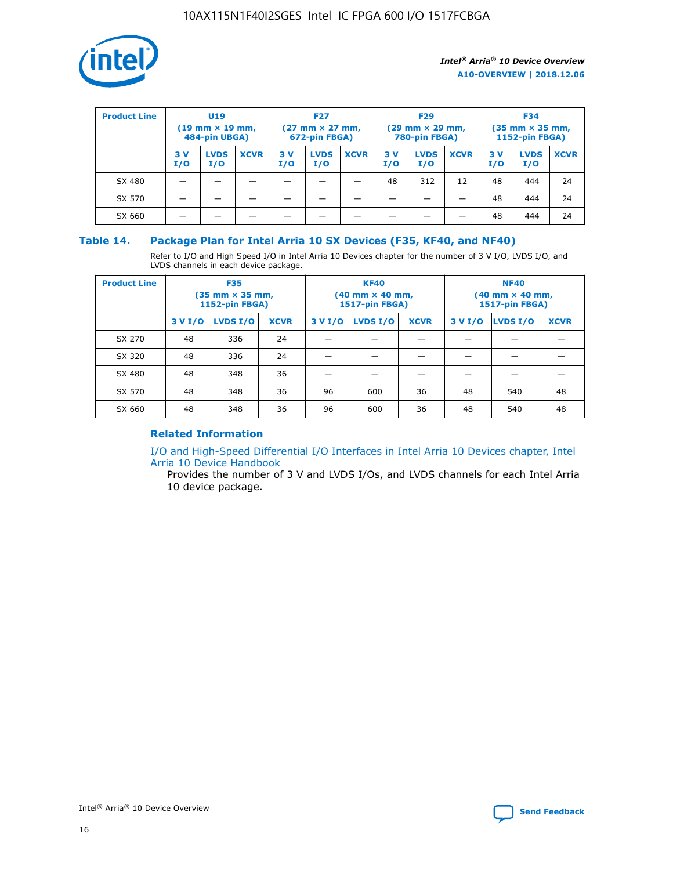

| <b>Product Line</b> | U <sub>19</sub><br>$(19 \text{ mm} \times 19 \text{ mm})$<br>484-pin UBGA) |                    | <b>F27</b><br>$(27 \text{ mm} \times 27 \text{ mm})$<br>672-pin FBGA) |           | <b>F29</b><br>$(29 \text{ mm} \times 29 \text{ mm})$<br>780-pin FBGA) |             |           | <b>F34</b><br>$(35 \text{ mm} \times 35 \text{ mm})$<br><b>1152-pin FBGA)</b> |             |           |                    |             |
|---------------------|----------------------------------------------------------------------------|--------------------|-----------------------------------------------------------------------|-----------|-----------------------------------------------------------------------|-------------|-----------|-------------------------------------------------------------------------------|-------------|-----------|--------------------|-------------|
|                     | 3 V<br>I/O                                                                 | <b>LVDS</b><br>I/O | <b>XCVR</b>                                                           | 3V<br>I/O | <b>LVDS</b><br>I/O                                                    | <b>XCVR</b> | 3V<br>I/O | <b>LVDS</b><br>I/O                                                            | <b>XCVR</b> | 3V<br>I/O | <b>LVDS</b><br>I/O | <b>XCVR</b> |
| SX 480              |                                                                            |                    |                                                                       |           |                                                                       |             | 48        | 312                                                                           | 12          | 48        | 444                | 24          |
| SX 570              |                                                                            |                    |                                                                       |           |                                                                       |             |           |                                                                               |             | 48        | 444                | 24          |
| SX 660              |                                                                            |                    |                                                                       |           |                                                                       |             |           |                                                                               |             | 48        | 444                | 24          |

## **Table 14. Package Plan for Intel Arria 10 SX Devices (F35, KF40, and NF40)**

Refer to I/O and High Speed I/O in Intel Arria 10 Devices chapter for the number of 3 V I/O, LVDS I/O, and LVDS channels in each device package.

| <b>Product Line</b> | <b>F35</b><br>$(35 \text{ mm} \times 35 \text{ mm})$<br><b>1152-pin FBGA)</b> |          |             |                                           | <b>KF40</b><br>(40 mm × 40 mm,<br>1517-pin FBGA) |    | <b>NF40</b><br>$(40 \text{ mm} \times 40 \text{ mm})$<br>1517-pin FBGA) |          |             |  |
|---------------------|-------------------------------------------------------------------------------|----------|-------------|-------------------------------------------|--------------------------------------------------|----|-------------------------------------------------------------------------|----------|-------------|--|
|                     | 3 V I/O                                                                       | LVDS I/O | <b>XCVR</b> | <b>LVDS I/O</b><br><b>XCVR</b><br>3 V I/O |                                                  |    | 3 V I/O                                                                 | LVDS I/O | <b>XCVR</b> |  |
| SX 270              | 48                                                                            | 336      | 24          |                                           |                                                  |    |                                                                         |          |             |  |
| SX 320              | 48                                                                            | 336      | 24          |                                           |                                                  |    |                                                                         |          |             |  |
| SX 480              | 48                                                                            | 348      | 36          |                                           |                                                  |    |                                                                         |          |             |  |
| SX 570              | 48                                                                            | 348      | 36          | 96                                        | 600                                              | 36 | 48                                                                      | 540      | 48          |  |
| SX 660              | 48                                                                            | 348      | 36          | 96                                        | 600                                              | 36 | 48                                                                      | 540      | 48          |  |

# **Related Information**

[I/O and High-Speed Differential I/O Interfaces in Intel Arria 10 Devices chapter, Intel](https://www.intel.com/content/www/us/en/programmable/documentation/sam1403482614086.html#sam1403482030321) [Arria 10 Device Handbook](https://www.intel.com/content/www/us/en/programmable/documentation/sam1403482614086.html#sam1403482030321)

Provides the number of 3 V and LVDS I/Os, and LVDS channels for each Intel Arria 10 device package.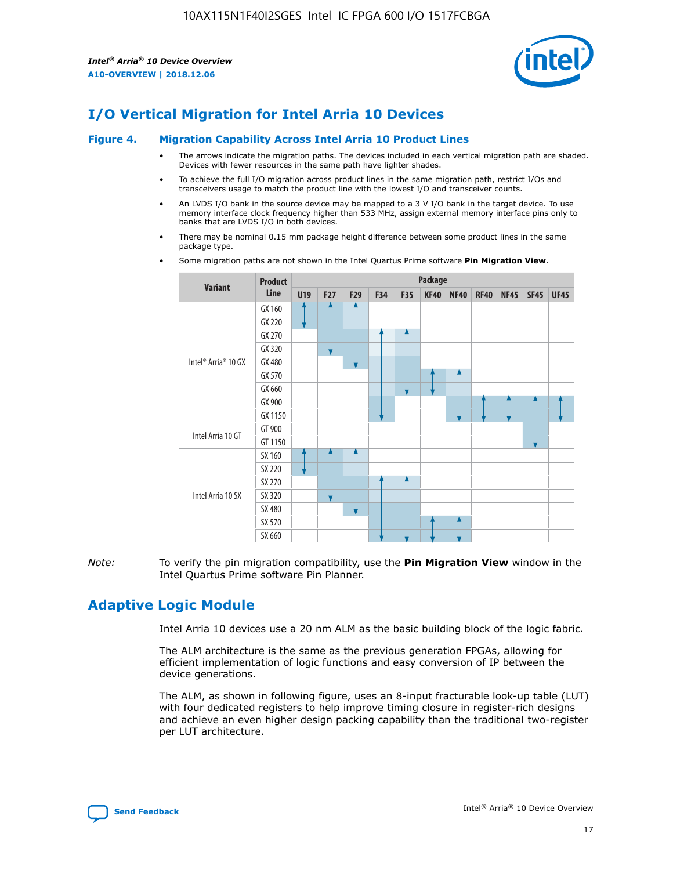

# **I/O Vertical Migration for Intel Arria 10 Devices**

#### **Figure 4. Migration Capability Across Intel Arria 10 Product Lines**

- The arrows indicate the migration paths. The devices included in each vertical migration path are shaded. Devices with fewer resources in the same path have lighter shades.
- To achieve the full I/O migration across product lines in the same migration path, restrict I/Os and transceivers usage to match the product line with the lowest I/O and transceiver counts.
- An LVDS I/O bank in the source device may be mapped to a 3 V I/O bank in the target device. To use memory interface clock frequency higher than 533 MHz, assign external memory interface pins only to banks that are LVDS I/O in both devices.
- There may be nominal 0.15 mm package height difference between some product lines in the same package type.
	- **Variant Product Line Package U19 F27 F29 F34 F35 KF40 NF40 RF40 NF45 SF45 UF45** Intel® Arria® 10 GX GX 160 GX 220 GX 270 GX 320 GX 480 GX 570 GX 660 GX 900 GX 1150 Intel Arria 10 GT GT 900 GT 1150 Intel Arria 10 SX SX 160 SX 220 SX 270 SX 320 SX 480 SX 570 SX 660
- Some migration paths are not shown in the Intel Quartus Prime software **Pin Migration View**.

*Note:* To verify the pin migration compatibility, use the **Pin Migration View** window in the Intel Quartus Prime software Pin Planner.

# **Adaptive Logic Module**

Intel Arria 10 devices use a 20 nm ALM as the basic building block of the logic fabric.

The ALM architecture is the same as the previous generation FPGAs, allowing for efficient implementation of logic functions and easy conversion of IP between the device generations.

The ALM, as shown in following figure, uses an 8-input fracturable look-up table (LUT) with four dedicated registers to help improve timing closure in register-rich designs and achieve an even higher design packing capability than the traditional two-register per LUT architecture.

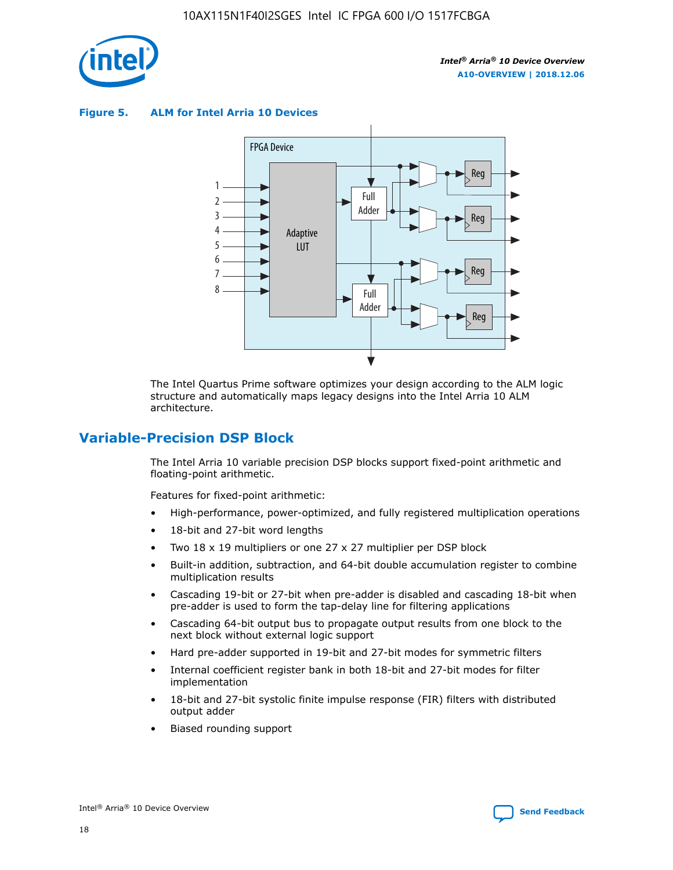

**Figure 5. ALM for Intel Arria 10 Devices**



The Intel Quartus Prime software optimizes your design according to the ALM logic structure and automatically maps legacy designs into the Intel Arria 10 ALM architecture.

# **Variable-Precision DSP Block**

The Intel Arria 10 variable precision DSP blocks support fixed-point arithmetic and floating-point arithmetic.

Features for fixed-point arithmetic:

- High-performance, power-optimized, and fully registered multiplication operations
- 18-bit and 27-bit word lengths
- Two 18 x 19 multipliers or one 27 x 27 multiplier per DSP block
- Built-in addition, subtraction, and 64-bit double accumulation register to combine multiplication results
- Cascading 19-bit or 27-bit when pre-adder is disabled and cascading 18-bit when pre-adder is used to form the tap-delay line for filtering applications
- Cascading 64-bit output bus to propagate output results from one block to the next block without external logic support
- Hard pre-adder supported in 19-bit and 27-bit modes for symmetric filters
- Internal coefficient register bank in both 18-bit and 27-bit modes for filter implementation
- 18-bit and 27-bit systolic finite impulse response (FIR) filters with distributed output adder
- Biased rounding support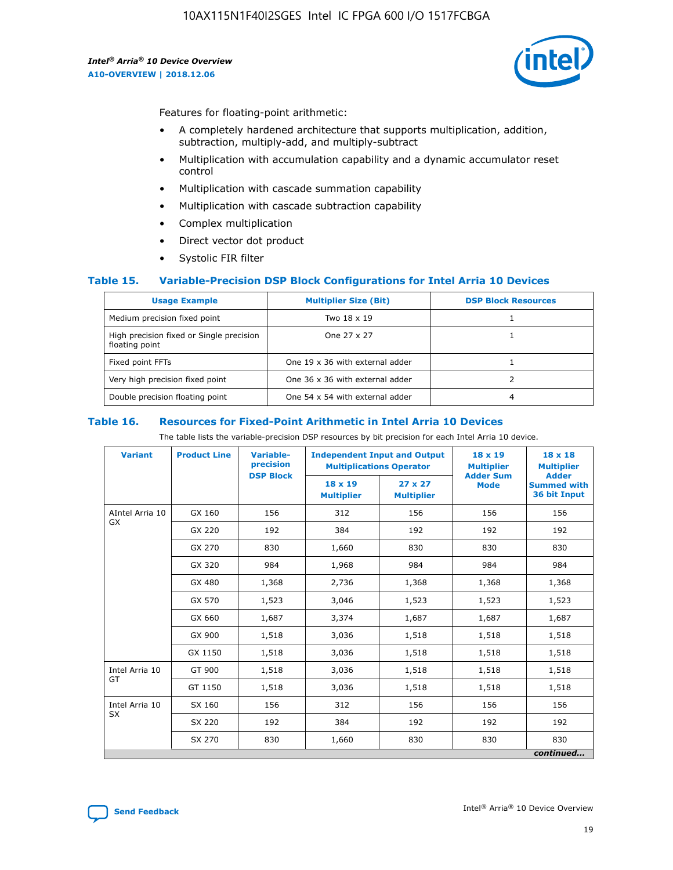

Features for floating-point arithmetic:

- A completely hardened architecture that supports multiplication, addition, subtraction, multiply-add, and multiply-subtract
- Multiplication with accumulation capability and a dynamic accumulator reset control
- Multiplication with cascade summation capability
- Multiplication with cascade subtraction capability
- Complex multiplication
- Direct vector dot product
- Systolic FIR filter

#### **Table 15. Variable-Precision DSP Block Configurations for Intel Arria 10 Devices**

| <b>Usage Example</b>                                       | <b>Multiplier Size (Bit)</b>    | <b>DSP Block Resources</b> |
|------------------------------------------------------------|---------------------------------|----------------------------|
| Medium precision fixed point                               | Two 18 x 19                     |                            |
| High precision fixed or Single precision<br>floating point | One 27 x 27                     |                            |
| Fixed point FFTs                                           | One 19 x 36 with external adder |                            |
| Very high precision fixed point                            | One 36 x 36 with external adder |                            |
| Double precision floating point                            | One 54 x 54 with external adder | 4                          |

#### **Table 16. Resources for Fixed-Point Arithmetic in Intel Arria 10 Devices**

The table lists the variable-precision DSP resources by bit precision for each Intel Arria 10 device.

| <b>Variant</b>  | <b>Product Line</b> | Variable-<br>precision<br><b>DSP Block</b> | <b>Independent Input and Output</b><br><b>Multiplications Operator</b> |                                     | 18 x 19<br><b>Multiplier</b><br><b>Adder Sum</b> | $18 \times 18$<br><b>Multiplier</b><br><b>Adder</b> |
|-----------------|---------------------|--------------------------------------------|------------------------------------------------------------------------|-------------------------------------|--------------------------------------------------|-----------------------------------------------------|
|                 |                     |                                            | 18 x 19<br><b>Multiplier</b>                                           | $27 \times 27$<br><b>Multiplier</b> | <b>Mode</b>                                      | <b>Summed with</b><br>36 bit Input                  |
| AIntel Arria 10 | GX 160              | 156                                        | 312                                                                    | 156                                 | 156                                              | 156                                                 |
| GX              | GX 220              | 192                                        | 384                                                                    | 192                                 | 192                                              | 192                                                 |
|                 | GX 270              | 830                                        | 1,660                                                                  | 830                                 | 830                                              | 830                                                 |
|                 | GX 320              | 984                                        | 1,968                                                                  | 984                                 | 984                                              | 984                                                 |
|                 | GX 480              | 1,368                                      | 2,736                                                                  | 1,368                               | 1,368                                            | 1,368                                               |
|                 | GX 570              | 1,523                                      | 3,046                                                                  | 1,523                               | 1,523                                            | 1,523                                               |
|                 | GX 660              | 1,687                                      | 3,374                                                                  | 1,687                               | 1,687                                            | 1,687                                               |
|                 | GX 900              | 1,518                                      | 3,036                                                                  | 1,518                               | 1,518                                            | 1,518                                               |
|                 | GX 1150             | 1,518                                      | 3,036                                                                  | 1,518                               | 1,518                                            | 1,518                                               |
| Intel Arria 10  | GT 900              | 1,518                                      | 3,036                                                                  | 1,518                               | 1,518                                            | 1,518                                               |
| GT              | GT 1150             | 1,518                                      | 3,036                                                                  | 1,518                               | 1,518                                            | 1,518                                               |
| Intel Arria 10  | SX 160              | 156                                        | 312                                                                    | 156                                 | 156                                              | 156                                                 |
| <b>SX</b>       | SX 220<br>192       |                                            | 384                                                                    | 192                                 | 192                                              | 192                                                 |
|                 | SX 270              | 830                                        | 1,660                                                                  | 830                                 | 830                                              | 830                                                 |
|                 |                     |                                            |                                                                        |                                     |                                                  | continued                                           |

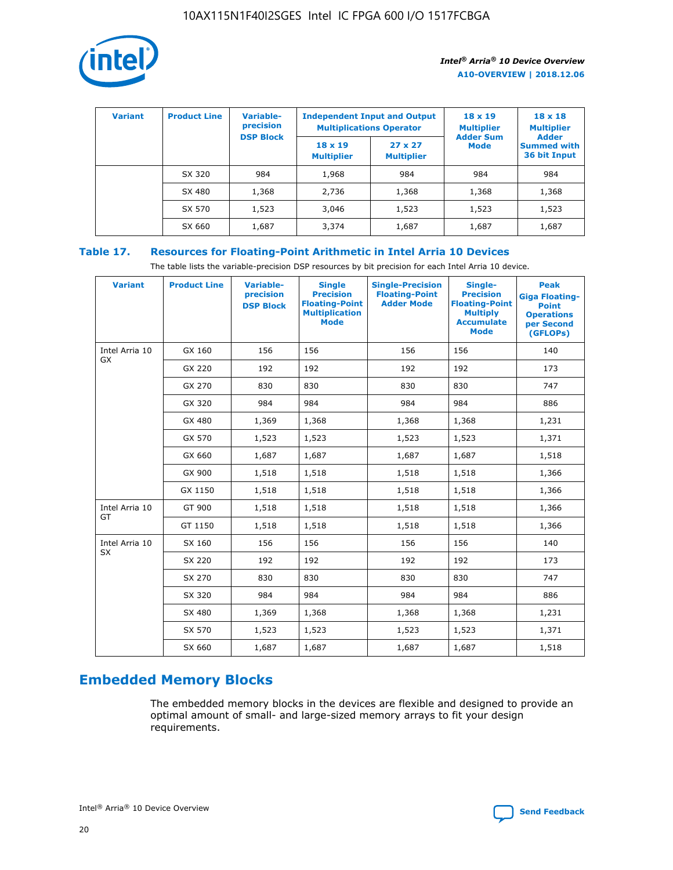

| <b>Variant</b> | <b>Product Line</b> | Variable-<br>precision | <b>Independent Input and Output</b><br><b>Multiplications Operator</b> |                                     | $18 \times 19$<br><b>Multiplier</b> | $18 \times 18$<br><b>Multiplier</b><br><b>Adder</b> |  |
|----------------|---------------------|------------------------|------------------------------------------------------------------------|-------------------------------------|-------------------------------------|-----------------------------------------------------|--|
|                |                     | <b>DSP Block</b>       | $18 \times 19$<br><b>Multiplier</b>                                    | $27 \times 27$<br><b>Multiplier</b> | <b>Adder Sum</b><br><b>Mode</b>     | <b>Summed with</b><br>36 bit Input                  |  |
|                | SX 320              | 984                    | 1,968                                                                  | 984                                 | 984                                 | 984                                                 |  |
|                | SX 480              | 1,368                  | 2,736                                                                  | 1,368                               | 1,368                               | 1,368                                               |  |
|                | SX 570              | 1,523                  | 3,046                                                                  | 1,523                               | 1,523                               | 1,523                                               |  |
|                | SX 660              | 1,687                  | 3,374                                                                  | 1,687                               | 1,687                               | 1,687                                               |  |

# **Table 17. Resources for Floating-Point Arithmetic in Intel Arria 10 Devices**

The table lists the variable-precision DSP resources by bit precision for each Intel Arria 10 device.

| <b>Variant</b> | <b>Product Line</b> | <b>Variable-</b><br>precision<br><b>DSP Block</b> | <b>Single</b><br><b>Precision</b><br><b>Floating-Point</b><br><b>Multiplication</b><br><b>Mode</b> | <b>Single-Precision</b><br><b>Floating-Point</b><br><b>Adder Mode</b> | Single-<br><b>Precision</b><br><b>Floating-Point</b><br><b>Multiply</b><br><b>Accumulate</b><br><b>Mode</b> | <b>Peak</b><br><b>Giga Floating-</b><br><b>Point</b><br><b>Operations</b><br>per Second<br>(GFLOPs) |
|----------------|---------------------|---------------------------------------------------|----------------------------------------------------------------------------------------------------|-----------------------------------------------------------------------|-------------------------------------------------------------------------------------------------------------|-----------------------------------------------------------------------------------------------------|
| Intel Arria 10 | GX 160              | 156                                               | 156                                                                                                | 156                                                                   | 156                                                                                                         | 140                                                                                                 |
| GX             | GX 220              | 192                                               | 192                                                                                                | 192                                                                   | 192                                                                                                         | 173                                                                                                 |
|                | GX 270              | 830                                               | 830                                                                                                | 830                                                                   | 830                                                                                                         | 747                                                                                                 |
|                | GX 320              | 984                                               | 984                                                                                                | 984                                                                   | 984                                                                                                         | 886                                                                                                 |
|                | GX 480              | 1,369                                             | 1,368                                                                                              | 1,368                                                                 | 1,368                                                                                                       | 1,231                                                                                               |
|                | GX 570              | 1,523                                             | 1,523                                                                                              | 1,523                                                                 | 1,523                                                                                                       | 1,371                                                                                               |
|                | GX 660              | 1,687                                             | 1,687                                                                                              | 1,687                                                                 | 1,687                                                                                                       | 1,518                                                                                               |
|                | GX 900              | 1,518                                             | 1,518                                                                                              | 1,518                                                                 | 1,518                                                                                                       | 1,366                                                                                               |
|                | GX 1150             | 1,518                                             | 1,518                                                                                              | 1,518                                                                 | 1,518                                                                                                       | 1,366                                                                                               |
| Intel Arria 10 | GT 900              | 1,518                                             | 1,518                                                                                              | 1,518                                                                 | 1,518                                                                                                       | 1,366                                                                                               |
| GT             | GT 1150             | 1,518                                             | 1,518                                                                                              | 1,518                                                                 | 1,518                                                                                                       | 1,366                                                                                               |
| Intel Arria 10 | SX 160              | 156                                               | 156                                                                                                | 156                                                                   | 156                                                                                                         | 140                                                                                                 |
| <b>SX</b>      | SX 220              | 192                                               | 192                                                                                                | 192                                                                   | 192                                                                                                         | 173                                                                                                 |
|                | SX 270              | 830                                               | 830                                                                                                | 830                                                                   | 830                                                                                                         | 747                                                                                                 |
|                | SX 320              | 984                                               | 984                                                                                                | 984                                                                   | 984                                                                                                         | 886                                                                                                 |
|                | SX 480              | 1,369                                             | 1,368                                                                                              | 1,368                                                                 | 1,368                                                                                                       | 1,231                                                                                               |
|                | SX 570              | 1,523                                             | 1,523                                                                                              | 1,523                                                                 | 1,523                                                                                                       | 1,371                                                                                               |
|                | SX 660              | 1,687                                             | 1,687                                                                                              | 1,687                                                                 | 1,687                                                                                                       | 1,518                                                                                               |

# **Embedded Memory Blocks**

The embedded memory blocks in the devices are flexible and designed to provide an optimal amount of small- and large-sized memory arrays to fit your design requirements.

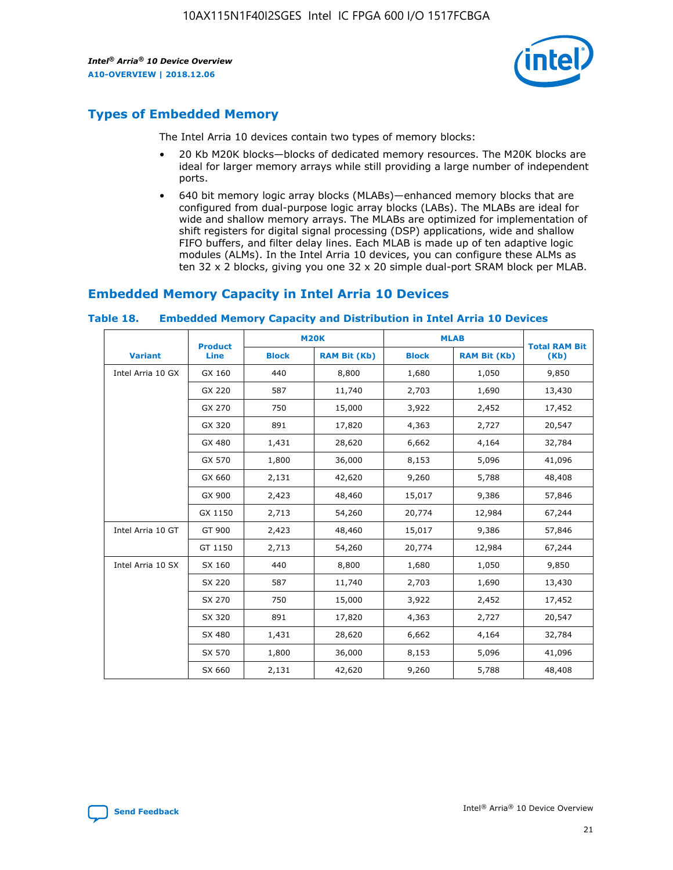

# **Types of Embedded Memory**

The Intel Arria 10 devices contain two types of memory blocks:

- 20 Kb M20K blocks—blocks of dedicated memory resources. The M20K blocks are ideal for larger memory arrays while still providing a large number of independent ports.
- 640 bit memory logic array blocks (MLABs)—enhanced memory blocks that are configured from dual-purpose logic array blocks (LABs). The MLABs are ideal for wide and shallow memory arrays. The MLABs are optimized for implementation of shift registers for digital signal processing (DSP) applications, wide and shallow FIFO buffers, and filter delay lines. Each MLAB is made up of ten adaptive logic modules (ALMs). In the Intel Arria 10 devices, you can configure these ALMs as ten 32 x 2 blocks, giving you one 32 x 20 simple dual-port SRAM block per MLAB.

# **Embedded Memory Capacity in Intel Arria 10 Devices**

|                   | <b>Product</b> | <b>M20K</b>  |                     | <b>MLAB</b>  |                     | <b>Total RAM Bit</b> |
|-------------------|----------------|--------------|---------------------|--------------|---------------------|----------------------|
| <b>Variant</b>    | <b>Line</b>    | <b>Block</b> | <b>RAM Bit (Kb)</b> | <b>Block</b> | <b>RAM Bit (Kb)</b> | (Kb)                 |
| Intel Arria 10 GX | GX 160         | 440          | 8,800               | 1,680        | 1,050               | 9,850                |
|                   | GX 220         | 587          | 11,740              | 2,703        | 1,690               | 13,430               |
|                   | GX 270         | 750          | 15,000              | 3,922        | 2,452               | 17,452               |
|                   | GX 320         | 891          | 17,820              | 4,363        | 2,727               | 20,547               |
|                   | GX 480         | 1,431        | 28,620              | 6,662        | 4,164               | 32,784               |
|                   | GX 570         | 1,800        | 36,000              | 8,153        | 5,096               | 41,096               |
|                   | GX 660         | 2,131        | 42,620              | 9,260        | 5,788               | 48,408               |
|                   | GX 900         | 2,423        | 48,460              | 15,017       | 9,386               | 57,846               |
|                   | GX 1150        | 2,713        | 54,260              | 20,774       | 12,984              | 67,244               |
| Intel Arria 10 GT | GT 900         | 2,423        | 48,460              | 15,017       | 9,386               | 57,846               |
|                   | GT 1150        | 2,713        | 54,260              | 20,774       | 12,984              | 67,244               |
| Intel Arria 10 SX | SX 160         | 440          | 8,800               | 1,680        | 1,050               | 9,850                |
|                   | SX 220         | 587          | 11,740              | 2,703        | 1,690               | 13,430               |
|                   | SX 270         | 750          | 15,000              | 3,922        | 2,452               | 17,452               |
|                   | SX 320         | 891          | 17,820              | 4,363        | 2,727               | 20,547               |
|                   | SX 480         | 1,431        | 28,620              | 6,662        | 4,164               | 32,784               |
|                   | SX 570         | 1,800        | 36,000              | 8,153        | 5,096               | 41,096               |
|                   | SX 660         | 2,131        | 42,620              | 9,260        | 5,788               | 48,408               |

#### **Table 18. Embedded Memory Capacity and Distribution in Intel Arria 10 Devices**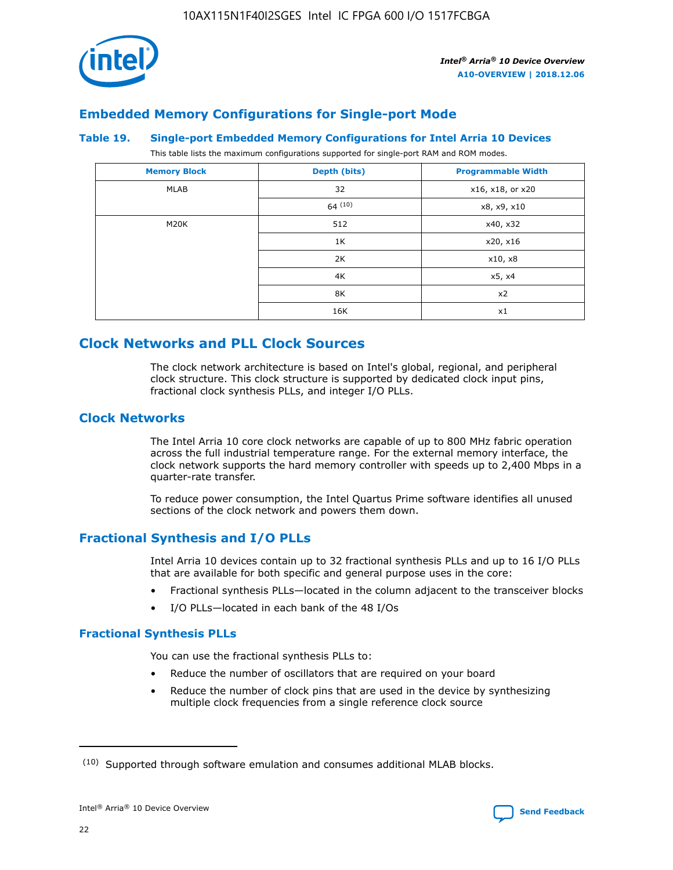

# **Embedded Memory Configurations for Single-port Mode**

#### **Table 19. Single-port Embedded Memory Configurations for Intel Arria 10 Devices**

This table lists the maximum configurations supported for single-port RAM and ROM modes.

| <b>Memory Block</b> | Depth (bits) | <b>Programmable Width</b> |
|---------------------|--------------|---------------------------|
| MLAB                | 32           | x16, x18, or x20          |
|                     | 64(10)       | x8, x9, x10               |
| M20K                | 512          | x40, x32                  |
|                     | 1K           | x20, x16                  |
|                     | 2K           | x10, x8                   |
|                     | 4K           | x5, x4                    |
|                     | 8K           | x2                        |
|                     | 16K          | x1                        |

# **Clock Networks and PLL Clock Sources**

The clock network architecture is based on Intel's global, regional, and peripheral clock structure. This clock structure is supported by dedicated clock input pins, fractional clock synthesis PLLs, and integer I/O PLLs.

# **Clock Networks**

The Intel Arria 10 core clock networks are capable of up to 800 MHz fabric operation across the full industrial temperature range. For the external memory interface, the clock network supports the hard memory controller with speeds up to 2,400 Mbps in a quarter-rate transfer.

To reduce power consumption, the Intel Quartus Prime software identifies all unused sections of the clock network and powers them down.

# **Fractional Synthesis and I/O PLLs**

Intel Arria 10 devices contain up to 32 fractional synthesis PLLs and up to 16 I/O PLLs that are available for both specific and general purpose uses in the core:

- Fractional synthesis PLLs—located in the column adjacent to the transceiver blocks
- I/O PLLs—located in each bank of the 48 I/Os

#### **Fractional Synthesis PLLs**

You can use the fractional synthesis PLLs to:

- Reduce the number of oscillators that are required on your board
- Reduce the number of clock pins that are used in the device by synthesizing multiple clock frequencies from a single reference clock source

<sup>(10)</sup> Supported through software emulation and consumes additional MLAB blocks.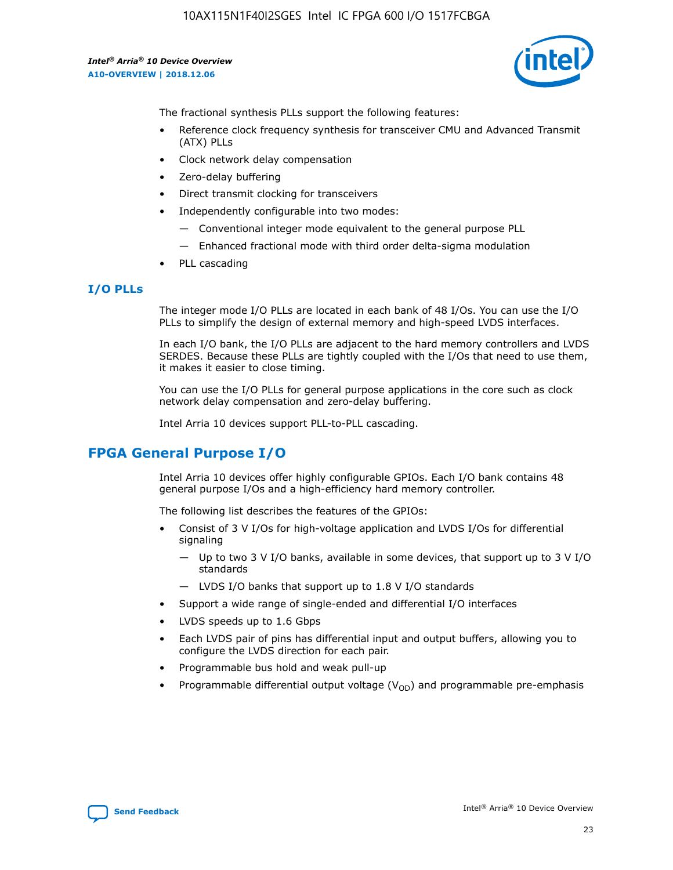

The fractional synthesis PLLs support the following features:

- Reference clock frequency synthesis for transceiver CMU and Advanced Transmit (ATX) PLLs
- Clock network delay compensation
- Zero-delay buffering
- Direct transmit clocking for transceivers
- Independently configurable into two modes:
	- Conventional integer mode equivalent to the general purpose PLL
	- Enhanced fractional mode with third order delta-sigma modulation
- PLL cascading

# **I/O PLLs**

The integer mode I/O PLLs are located in each bank of 48 I/Os. You can use the I/O PLLs to simplify the design of external memory and high-speed LVDS interfaces.

In each I/O bank, the I/O PLLs are adjacent to the hard memory controllers and LVDS SERDES. Because these PLLs are tightly coupled with the I/Os that need to use them, it makes it easier to close timing.

You can use the I/O PLLs for general purpose applications in the core such as clock network delay compensation and zero-delay buffering.

Intel Arria 10 devices support PLL-to-PLL cascading.

# **FPGA General Purpose I/O**

Intel Arria 10 devices offer highly configurable GPIOs. Each I/O bank contains 48 general purpose I/Os and a high-efficiency hard memory controller.

The following list describes the features of the GPIOs:

- Consist of 3 V I/Os for high-voltage application and LVDS I/Os for differential signaling
	- Up to two 3 V I/O banks, available in some devices, that support up to 3 V I/O standards
	- LVDS I/O banks that support up to 1.8 V I/O standards
- Support a wide range of single-ended and differential I/O interfaces
- LVDS speeds up to 1.6 Gbps
- Each LVDS pair of pins has differential input and output buffers, allowing you to configure the LVDS direction for each pair.
- Programmable bus hold and weak pull-up
- Programmable differential output voltage  $(V_{OD})$  and programmable pre-emphasis

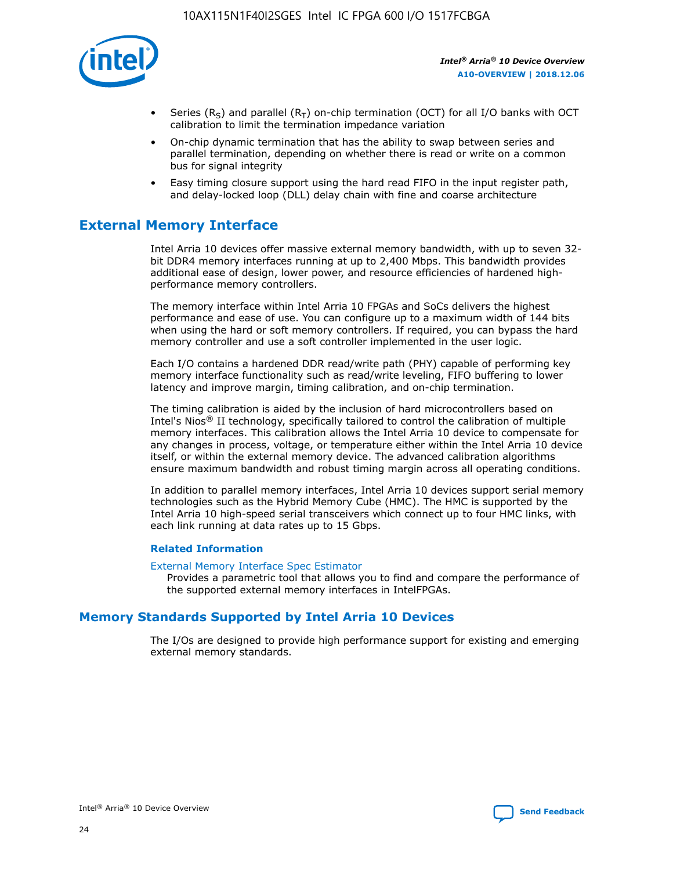

- Series (R<sub>S</sub>) and parallel (R<sub>T</sub>) on-chip termination (OCT) for all I/O banks with OCT calibration to limit the termination impedance variation
- On-chip dynamic termination that has the ability to swap between series and parallel termination, depending on whether there is read or write on a common bus for signal integrity
- Easy timing closure support using the hard read FIFO in the input register path, and delay-locked loop (DLL) delay chain with fine and coarse architecture

# **External Memory Interface**

Intel Arria 10 devices offer massive external memory bandwidth, with up to seven 32 bit DDR4 memory interfaces running at up to 2,400 Mbps. This bandwidth provides additional ease of design, lower power, and resource efficiencies of hardened highperformance memory controllers.

The memory interface within Intel Arria 10 FPGAs and SoCs delivers the highest performance and ease of use. You can configure up to a maximum width of 144 bits when using the hard or soft memory controllers. If required, you can bypass the hard memory controller and use a soft controller implemented in the user logic.

Each I/O contains a hardened DDR read/write path (PHY) capable of performing key memory interface functionality such as read/write leveling, FIFO buffering to lower latency and improve margin, timing calibration, and on-chip termination.

The timing calibration is aided by the inclusion of hard microcontrollers based on Intel's Nios® II technology, specifically tailored to control the calibration of multiple memory interfaces. This calibration allows the Intel Arria 10 device to compensate for any changes in process, voltage, or temperature either within the Intel Arria 10 device itself, or within the external memory device. The advanced calibration algorithms ensure maximum bandwidth and robust timing margin across all operating conditions.

In addition to parallel memory interfaces, Intel Arria 10 devices support serial memory technologies such as the Hybrid Memory Cube (HMC). The HMC is supported by the Intel Arria 10 high-speed serial transceivers which connect up to four HMC links, with each link running at data rates up to 15 Gbps.

#### **Related Information**

#### [External Memory Interface Spec Estimator](http://www.altera.com/technology/memory/estimator/mem-emif-index.html)

Provides a parametric tool that allows you to find and compare the performance of the supported external memory interfaces in IntelFPGAs.

# **Memory Standards Supported by Intel Arria 10 Devices**

The I/Os are designed to provide high performance support for existing and emerging external memory standards.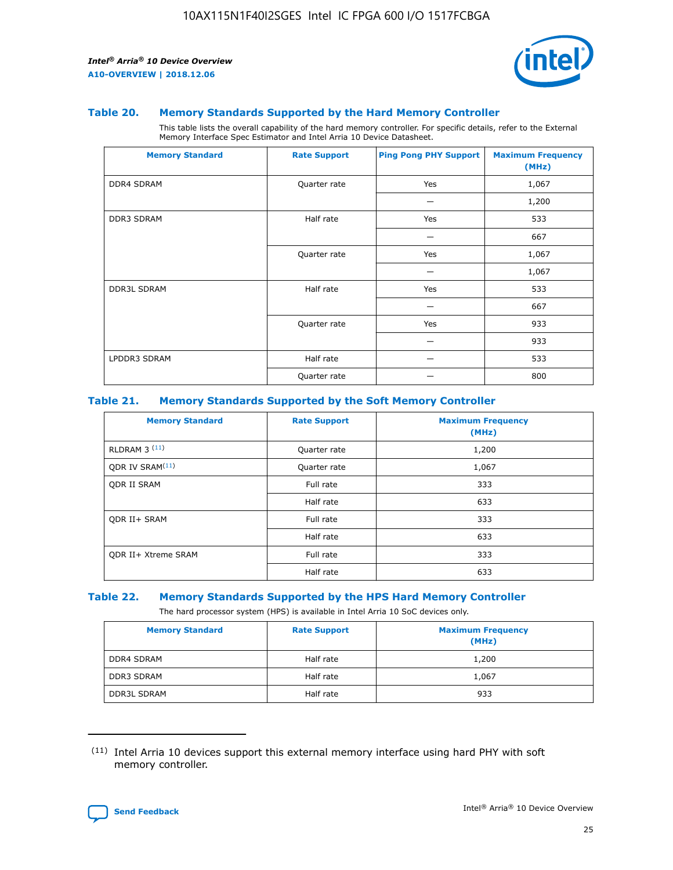

#### **Table 20. Memory Standards Supported by the Hard Memory Controller**

This table lists the overall capability of the hard memory controller. For specific details, refer to the External Memory Interface Spec Estimator and Intel Arria 10 Device Datasheet.

| <b>Memory Standard</b> | <b>Rate Support</b> | <b>Ping Pong PHY Support</b> | <b>Maximum Frequency</b><br>(MHz) |
|------------------------|---------------------|------------------------------|-----------------------------------|
| <b>DDR4 SDRAM</b>      | Quarter rate        | Yes                          | 1,067                             |
|                        |                     |                              | 1,200                             |
| DDR3 SDRAM             | Half rate           | Yes                          | 533                               |
|                        |                     |                              | 667                               |
|                        | Quarter rate        | Yes                          | 1,067                             |
|                        |                     |                              | 1,067                             |
| <b>DDR3L SDRAM</b>     | Half rate           | Yes                          | 533                               |
|                        |                     |                              | 667                               |
|                        | Quarter rate        | Yes                          | 933                               |
|                        |                     |                              | 933                               |
| LPDDR3 SDRAM           | Half rate           |                              | 533                               |
|                        | Quarter rate        |                              | 800                               |

#### **Table 21. Memory Standards Supported by the Soft Memory Controller**

| <b>Memory Standard</b>      | <b>Rate Support</b> | <b>Maximum Frequency</b><br>(MHz) |
|-----------------------------|---------------------|-----------------------------------|
| <b>RLDRAM 3 (11)</b>        | Quarter rate        | 1,200                             |
| ODR IV SRAM <sup>(11)</sup> | Quarter rate        | 1,067                             |
| <b>ODR II SRAM</b>          | Full rate           | 333                               |
|                             | Half rate           | 633                               |
| <b>ODR II+ SRAM</b>         | Full rate           | 333                               |
|                             | Half rate           | 633                               |
| <b>ODR II+ Xtreme SRAM</b>  | Full rate           | 333                               |
|                             | Half rate           | 633                               |

#### **Table 22. Memory Standards Supported by the HPS Hard Memory Controller**

The hard processor system (HPS) is available in Intel Arria 10 SoC devices only.

| <b>Memory Standard</b> | <b>Rate Support</b> | <b>Maximum Frequency</b><br>(MHz) |
|------------------------|---------------------|-----------------------------------|
| <b>DDR4 SDRAM</b>      | Half rate           | 1,200                             |
| <b>DDR3 SDRAM</b>      | Half rate           | 1,067                             |
| <b>DDR3L SDRAM</b>     | Half rate           | 933                               |

<sup>(11)</sup> Intel Arria 10 devices support this external memory interface using hard PHY with soft memory controller.

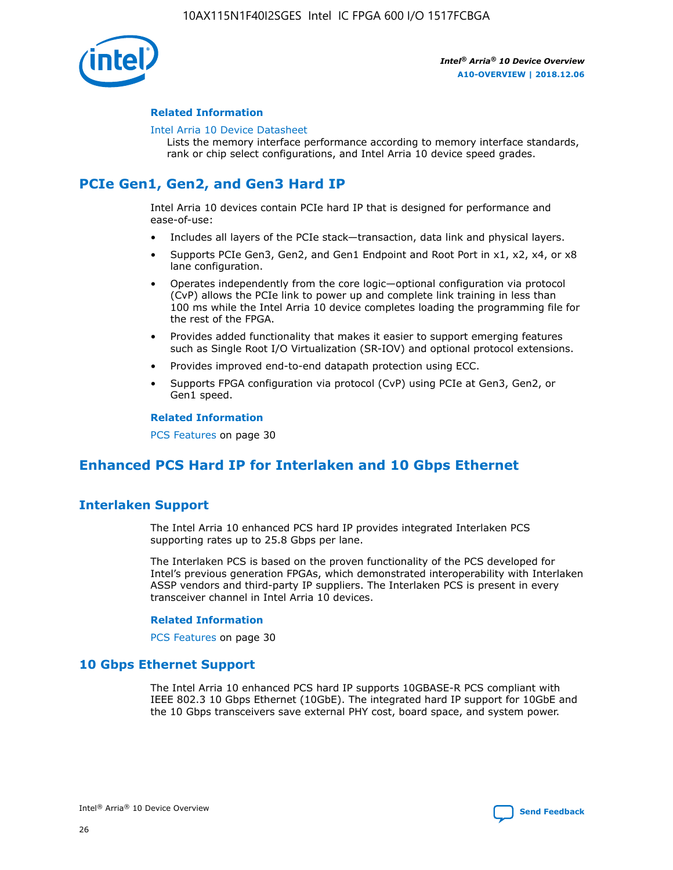

### **Related Information**

#### [Intel Arria 10 Device Datasheet](https://www.intel.com/content/www/us/en/programmable/documentation/mcn1413182292568.html#mcn1413182153340)

Lists the memory interface performance according to memory interface standards, rank or chip select configurations, and Intel Arria 10 device speed grades.

# **PCIe Gen1, Gen2, and Gen3 Hard IP**

Intel Arria 10 devices contain PCIe hard IP that is designed for performance and ease-of-use:

- Includes all layers of the PCIe stack—transaction, data link and physical layers.
- Supports PCIe Gen3, Gen2, and Gen1 Endpoint and Root Port in x1, x2, x4, or x8 lane configuration.
- Operates independently from the core logic—optional configuration via protocol (CvP) allows the PCIe link to power up and complete link training in less than 100 ms while the Intel Arria 10 device completes loading the programming file for the rest of the FPGA.
- Provides added functionality that makes it easier to support emerging features such as Single Root I/O Virtualization (SR-IOV) and optional protocol extensions.
- Provides improved end-to-end datapath protection using ECC.
- Supports FPGA configuration via protocol (CvP) using PCIe at Gen3, Gen2, or Gen1 speed.

#### **Related Information**

PCS Features on page 30

# **Enhanced PCS Hard IP for Interlaken and 10 Gbps Ethernet**

# **Interlaken Support**

The Intel Arria 10 enhanced PCS hard IP provides integrated Interlaken PCS supporting rates up to 25.8 Gbps per lane.

The Interlaken PCS is based on the proven functionality of the PCS developed for Intel's previous generation FPGAs, which demonstrated interoperability with Interlaken ASSP vendors and third-party IP suppliers. The Interlaken PCS is present in every transceiver channel in Intel Arria 10 devices.

#### **Related Information**

PCS Features on page 30

# **10 Gbps Ethernet Support**

The Intel Arria 10 enhanced PCS hard IP supports 10GBASE-R PCS compliant with IEEE 802.3 10 Gbps Ethernet (10GbE). The integrated hard IP support for 10GbE and the 10 Gbps transceivers save external PHY cost, board space, and system power.

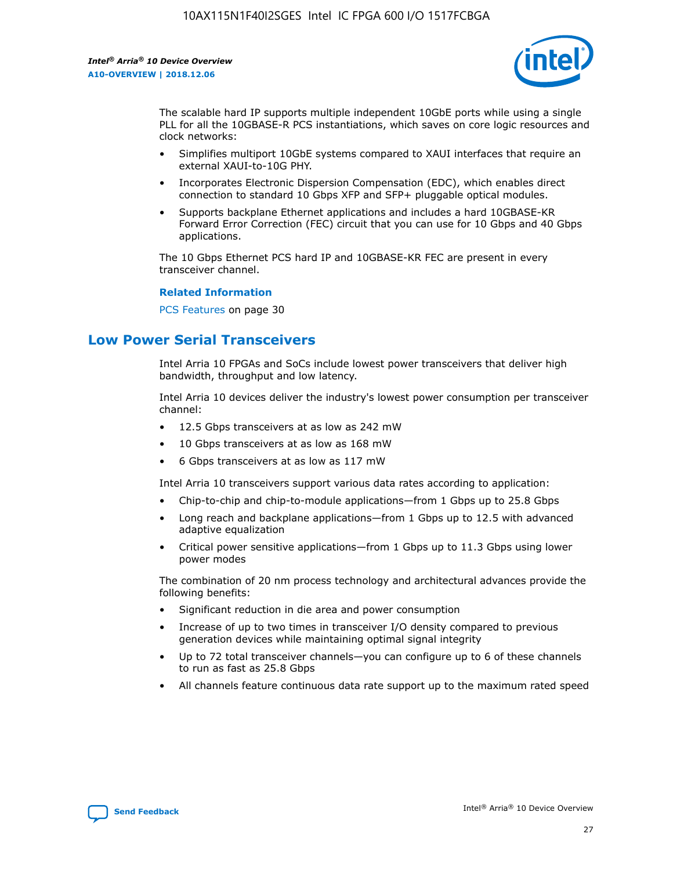

The scalable hard IP supports multiple independent 10GbE ports while using a single PLL for all the 10GBASE-R PCS instantiations, which saves on core logic resources and clock networks:

- Simplifies multiport 10GbE systems compared to XAUI interfaces that require an external XAUI-to-10G PHY.
- Incorporates Electronic Dispersion Compensation (EDC), which enables direct connection to standard 10 Gbps XFP and SFP+ pluggable optical modules.
- Supports backplane Ethernet applications and includes a hard 10GBASE-KR Forward Error Correction (FEC) circuit that you can use for 10 Gbps and 40 Gbps applications.

The 10 Gbps Ethernet PCS hard IP and 10GBASE-KR FEC are present in every transceiver channel.

#### **Related Information**

PCS Features on page 30

# **Low Power Serial Transceivers**

Intel Arria 10 FPGAs and SoCs include lowest power transceivers that deliver high bandwidth, throughput and low latency.

Intel Arria 10 devices deliver the industry's lowest power consumption per transceiver channel:

- 12.5 Gbps transceivers at as low as 242 mW
- 10 Gbps transceivers at as low as 168 mW
- 6 Gbps transceivers at as low as 117 mW

Intel Arria 10 transceivers support various data rates according to application:

- Chip-to-chip and chip-to-module applications—from 1 Gbps up to 25.8 Gbps
- Long reach and backplane applications—from 1 Gbps up to 12.5 with advanced adaptive equalization
- Critical power sensitive applications—from 1 Gbps up to 11.3 Gbps using lower power modes

The combination of 20 nm process technology and architectural advances provide the following benefits:

- Significant reduction in die area and power consumption
- Increase of up to two times in transceiver I/O density compared to previous generation devices while maintaining optimal signal integrity
- Up to 72 total transceiver channels—you can configure up to 6 of these channels to run as fast as 25.8 Gbps
- All channels feature continuous data rate support up to the maximum rated speed

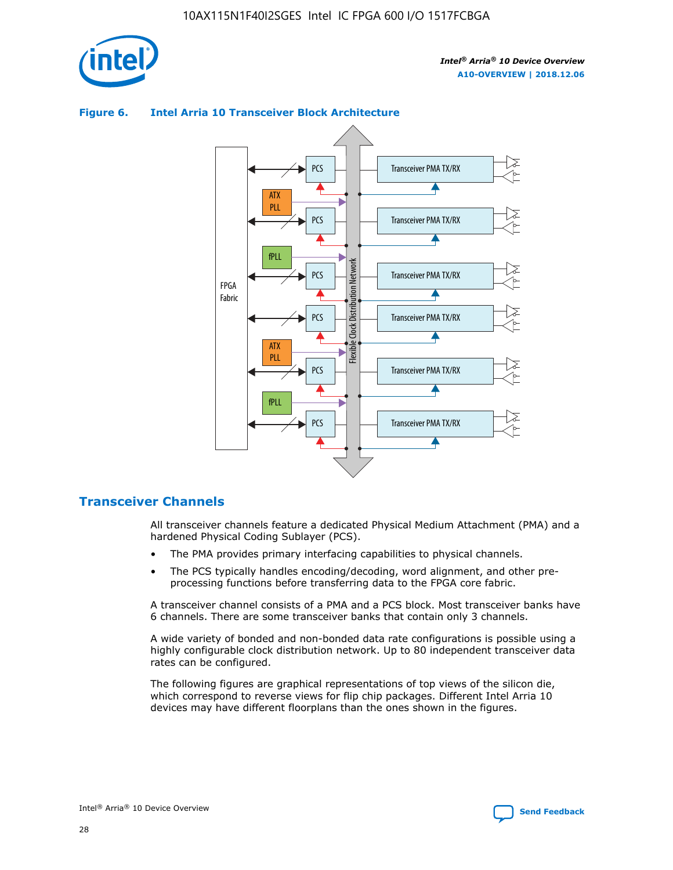

### Transceiver PMA TX/RX PCS ATX PLL Transceiver PMA TX/RX PCS fPLL Network Flexible Clock Distribution Network PCS Transceiver PMA TX/RX FPGA **Clock Distribution** Fabric PCS Transceiver PMA TX/RX ATX Flexible PLL PCS Transceiver PMA TX/RX ▲ fPLL

### **Figure 6. Intel Arria 10 Transceiver Block Architecture**

# **Transceiver Channels**

All transceiver channels feature a dedicated Physical Medium Attachment (PMA) and a hardened Physical Coding Sublayer (PCS).

Transceiver PMA TX/RX

4

• The PMA provides primary interfacing capabilities to physical channels.

PCS

• The PCS typically handles encoding/decoding, word alignment, and other preprocessing functions before transferring data to the FPGA core fabric.

A transceiver channel consists of a PMA and a PCS block. Most transceiver banks have 6 channels. There are some transceiver banks that contain only 3 channels.

A wide variety of bonded and non-bonded data rate configurations is possible using a highly configurable clock distribution network. Up to 80 independent transceiver data rates can be configured.

The following figures are graphical representations of top views of the silicon die, which correspond to reverse views for flip chip packages. Different Intel Arria 10 devices may have different floorplans than the ones shown in the figures.

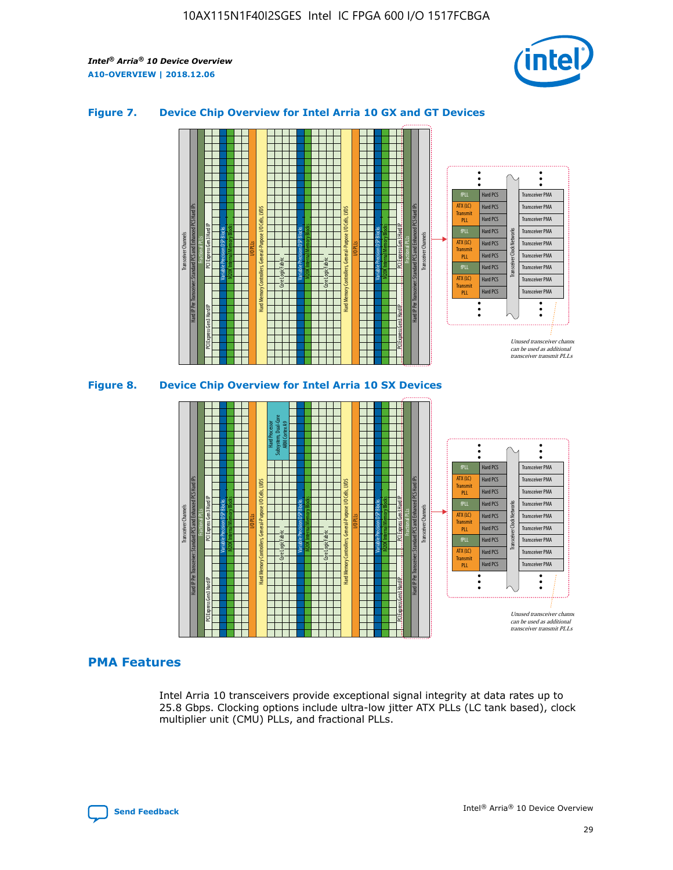

## **Figure 7. Device Chip Overview for Intel Arria 10 GX and GT Devices**





# **PMA Features**

Intel Arria 10 transceivers provide exceptional signal integrity at data rates up to 25.8 Gbps. Clocking options include ultra-low jitter ATX PLLs (LC tank based), clock multiplier unit (CMU) PLLs, and fractional PLLs.

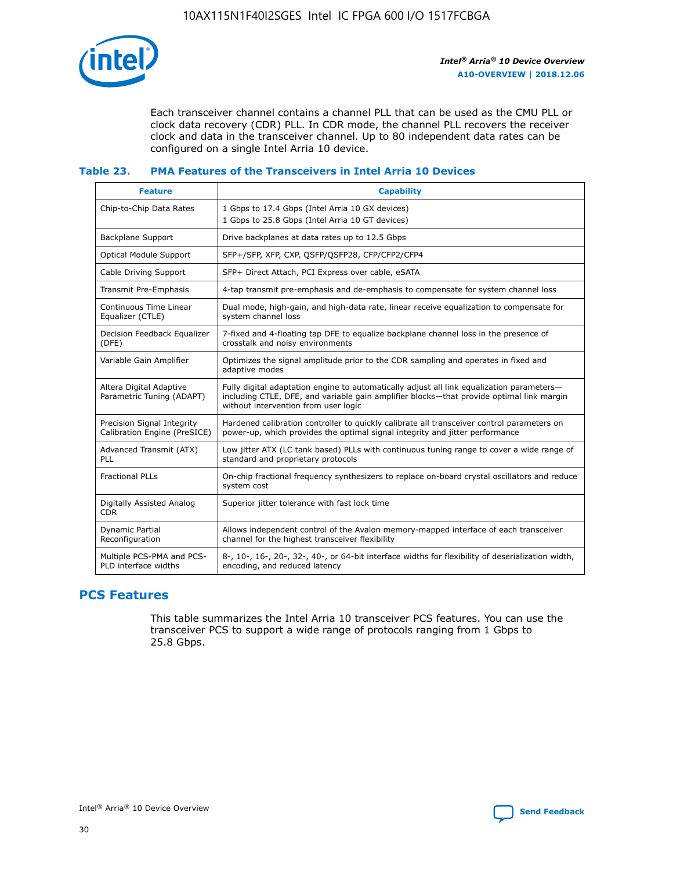

Each transceiver channel contains a channel PLL that can be used as the CMU PLL or clock data recovery (CDR) PLL. In CDR mode, the channel PLL recovers the receiver clock and data in the transceiver channel. Up to 80 independent data rates can be configured on a single Intel Arria 10 device.

## **Table 23. PMA Features of the Transceivers in Intel Arria 10 Devices**

| <b>Feature</b>                                             | <b>Capability</b>                                                                                                                                                                                                             |
|------------------------------------------------------------|-------------------------------------------------------------------------------------------------------------------------------------------------------------------------------------------------------------------------------|
| Chip-to-Chip Data Rates                                    | 1 Gbps to 17.4 Gbps (Intel Arria 10 GX devices)<br>1 Gbps to 25.8 Gbps (Intel Arria 10 GT devices)                                                                                                                            |
| Backplane Support                                          | Drive backplanes at data rates up to 12.5 Gbps                                                                                                                                                                                |
| <b>Optical Module Support</b>                              | SFP+/SFP, XFP, CXP, QSFP/QSFP28, CFP/CFP2/CFP4                                                                                                                                                                                |
| Cable Driving Support                                      | SFP+ Direct Attach, PCI Express over cable, eSATA                                                                                                                                                                             |
| Transmit Pre-Emphasis                                      | 4-tap transmit pre-emphasis and de-emphasis to compensate for system channel loss                                                                                                                                             |
| Continuous Time Linear<br>Equalizer (CTLE)                 | Dual mode, high-gain, and high-data rate, linear receive equalization to compensate for<br>system channel loss                                                                                                                |
| Decision Feedback Equalizer<br>(DFE)                       | 7-fixed and 4-floating tap DFE to equalize backplane channel loss in the presence of<br>crosstalk and noisy environments                                                                                                      |
| Variable Gain Amplifier                                    | Optimizes the signal amplitude prior to the CDR sampling and operates in fixed and<br>adaptive modes                                                                                                                          |
| Altera Digital Adaptive<br>Parametric Tuning (ADAPT)       | Fully digital adaptation engine to automatically adjust all link equalization parameters-<br>including CTLE, DFE, and variable gain amplifier blocks—that provide optimal link margin<br>without intervention from user logic |
| Precision Signal Integrity<br>Calibration Engine (PreSICE) | Hardened calibration controller to quickly calibrate all transceiver control parameters on<br>power-up, which provides the optimal signal integrity and jitter performance                                                    |
| Advanced Transmit (ATX)<br><b>PLL</b>                      | Low jitter ATX (LC tank based) PLLs with continuous tuning range to cover a wide range of<br>standard and proprietary protocols                                                                                               |
| <b>Fractional PLLs</b>                                     | On-chip fractional frequency synthesizers to replace on-board crystal oscillators and reduce<br>system cost                                                                                                                   |
| Digitally Assisted Analog<br><b>CDR</b>                    | Superior jitter tolerance with fast lock time                                                                                                                                                                                 |
| Dynamic Partial<br>Reconfiguration                         | Allows independent control of the Avalon memory-mapped interface of each transceiver<br>channel for the highest transceiver flexibility                                                                                       |
| Multiple PCS-PMA and PCS-<br>PLD interface widths          | 8-, 10-, 16-, 20-, 32-, 40-, or 64-bit interface widths for flexibility of deserialization width,<br>encoding, and reduced latency                                                                                            |

# **PCS Features**

This table summarizes the Intel Arria 10 transceiver PCS features. You can use the transceiver PCS to support a wide range of protocols ranging from 1 Gbps to 25.8 Gbps.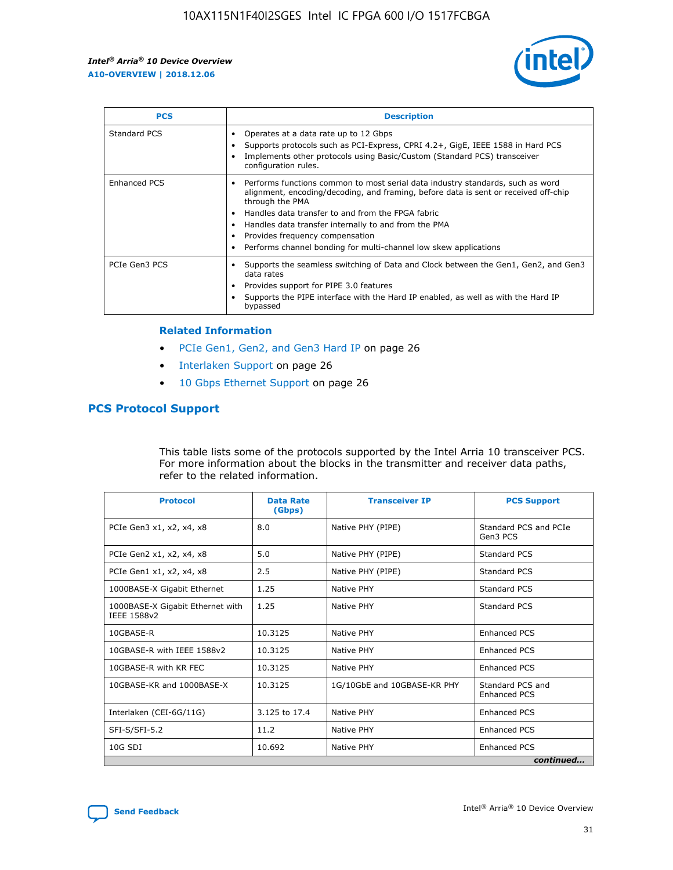

| <b>PCS</b>    | <b>Description</b>                                                                                                                                                                                                                                                                                                                                                                                             |
|---------------|----------------------------------------------------------------------------------------------------------------------------------------------------------------------------------------------------------------------------------------------------------------------------------------------------------------------------------------------------------------------------------------------------------------|
| Standard PCS  | Operates at a data rate up to 12 Gbps<br>Supports protocols such as PCI-Express, CPRI 4.2+, GigE, IEEE 1588 in Hard PCS<br>Implements other protocols using Basic/Custom (Standard PCS) transceiver<br>configuration rules.                                                                                                                                                                                    |
| Enhanced PCS  | Performs functions common to most serial data industry standards, such as word<br>alignment, encoding/decoding, and framing, before data is sent or received off-chip<br>through the PMA<br>• Handles data transfer to and from the FPGA fabric<br>Handles data transfer internally to and from the PMA<br>Provides frequency compensation<br>Performs channel bonding for multi-channel low skew applications |
| PCIe Gen3 PCS | Supports the seamless switching of Data and Clock between the Gen1, Gen2, and Gen3<br>data rates<br>Provides support for PIPE 3.0 features<br>Supports the PIPE interface with the Hard IP enabled, as well as with the Hard IP<br>bypassed                                                                                                                                                                    |

#### **Related Information**

- PCIe Gen1, Gen2, and Gen3 Hard IP on page 26
- Interlaken Support on page 26
- 10 Gbps Ethernet Support on page 26

# **PCS Protocol Support**

This table lists some of the protocols supported by the Intel Arria 10 transceiver PCS. For more information about the blocks in the transmitter and receiver data paths, refer to the related information.

| <b>Protocol</b>                                 | <b>Data Rate</b><br>(Gbps) | <b>Transceiver IP</b>       | <b>PCS Support</b>                      |
|-------------------------------------------------|----------------------------|-----------------------------|-----------------------------------------|
| PCIe Gen3 x1, x2, x4, x8                        | 8.0                        | Native PHY (PIPE)           | Standard PCS and PCIe<br>Gen3 PCS       |
| PCIe Gen2 x1, x2, x4, x8                        | 5.0                        | Native PHY (PIPE)           | <b>Standard PCS</b>                     |
| PCIe Gen1 x1, x2, x4, x8                        | 2.5                        | Native PHY (PIPE)           | Standard PCS                            |
| 1000BASE-X Gigabit Ethernet                     | 1.25                       | Native PHY                  | <b>Standard PCS</b>                     |
| 1000BASE-X Gigabit Ethernet with<br>IEEE 1588v2 | 1.25                       | Native PHY                  | Standard PCS                            |
| 10GBASE-R                                       | 10.3125                    | Native PHY                  | <b>Enhanced PCS</b>                     |
| 10GBASE-R with IEEE 1588v2                      | 10.3125                    | Native PHY                  | <b>Enhanced PCS</b>                     |
| 10GBASE-R with KR FEC                           | 10.3125                    | Native PHY                  | <b>Enhanced PCS</b>                     |
| 10GBASE-KR and 1000BASE-X                       | 10.3125                    | 1G/10GbE and 10GBASE-KR PHY | Standard PCS and<br><b>Enhanced PCS</b> |
| Interlaken (CEI-6G/11G)                         | 3.125 to 17.4              | Native PHY                  | <b>Enhanced PCS</b>                     |
| SFI-S/SFI-5.2                                   | 11.2                       | Native PHY                  | <b>Enhanced PCS</b>                     |
| 10G SDI                                         | 10.692                     | Native PHY                  | <b>Enhanced PCS</b>                     |
|                                                 |                            |                             | continued                               |

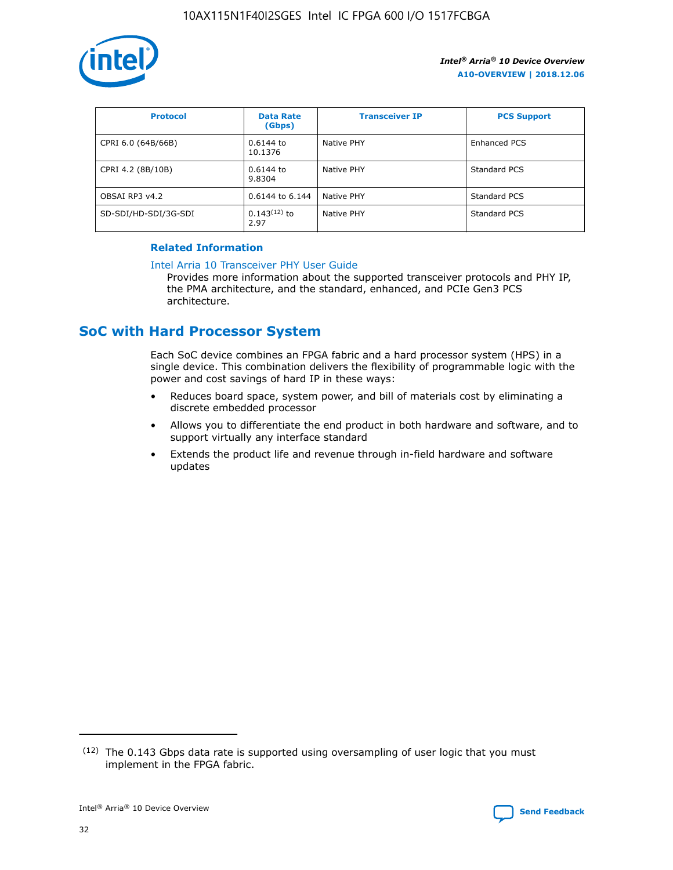

| <b>Protocol</b>      | <b>Data Rate</b><br>(Gbps) | <b>Transceiver IP</b> | <b>PCS Support</b> |
|----------------------|----------------------------|-----------------------|--------------------|
| CPRI 6.0 (64B/66B)   | 0.6144 to<br>10.1376       | Native PHY            | Enhanced PCS       |
| CPRI 4.2 (8B/10B)    | 0.6144 to<br>9.8304        | Native PHY            | Standard PCS       |
| OBSAI RP3 v4.2       | 0.6144 to 6.144            | Native PHY            | Standard PCS       |
| SD-SDI/HD-SDI/3G-SDI | $0.143(12)$ to<br>2.97     | Native PHY            | Standard PCS       |

# **Related Information**

#### [Intel Arria 10 Transceiver PHY User Guide](https://www.intel.com/content/www/us/en/programmable/documentation/nik1398707230472.html#nik1398707091164)

Provides more information about the supported transceiver protocols and PHY IP, the PMA architecture, and the standard, enhanced, and PCIe Gen3 PCS architecture.

# **SoC with Hard Processor System**

Each SoC device combines an FPGA fabric and a hard processor system (HPS) in a single device. This combination delivers the flexibility of programmable logic with the power and cost savings of hard IP in these ways:

- Reduces board space, system power, and bill of materials cost by eliminating a discrete embedded processor
- Allows you to differentiate the end product in both hardware and software, and to support virtually any interface standard
- Extends the product life and revenue through in-field hardware and software updates

 $(12)$  The 0.143 Gbps data rate is supported using oversampling of user logic that you must implement in the FPGA fabric.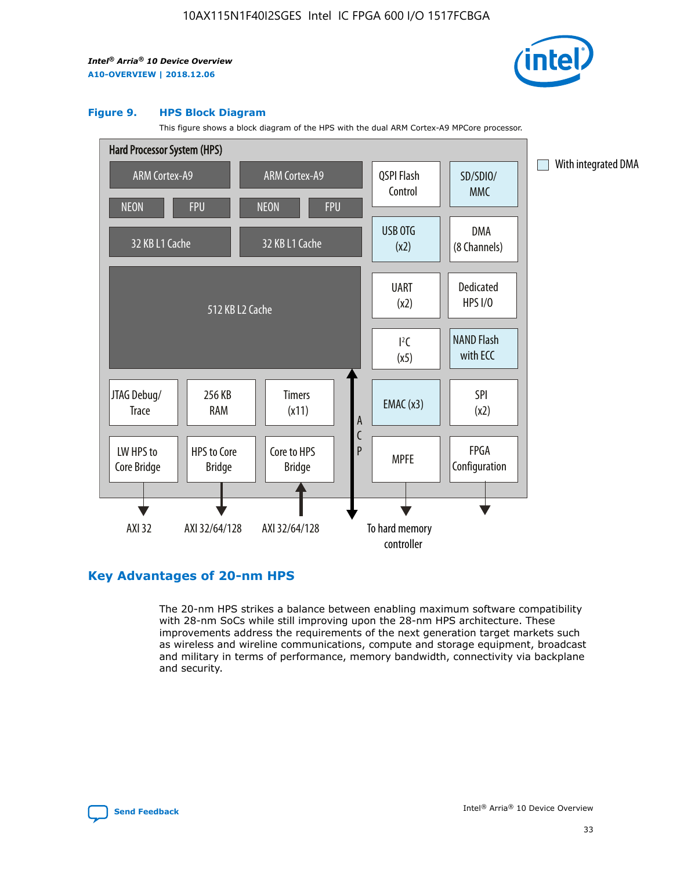

#### **Figure 9. HPS Block Diagram**

This figure shows a block diagram of the HPS with the dual ARM Cortex-A9 MPCore processor.



# **Key Advantages of 20-nm HPS**

The 20-nm HPS strikes a balance between enabling maximum software compatibility with 28-nm SoCs while still improving upon the 28-nm HPS architecture. These improvements address the requirements of the next generation target markets such as wireless and wireline communications, compute and storage equipment, broadcast and military in terms of performance, memory bandwidth, connectivity via backplane and security.

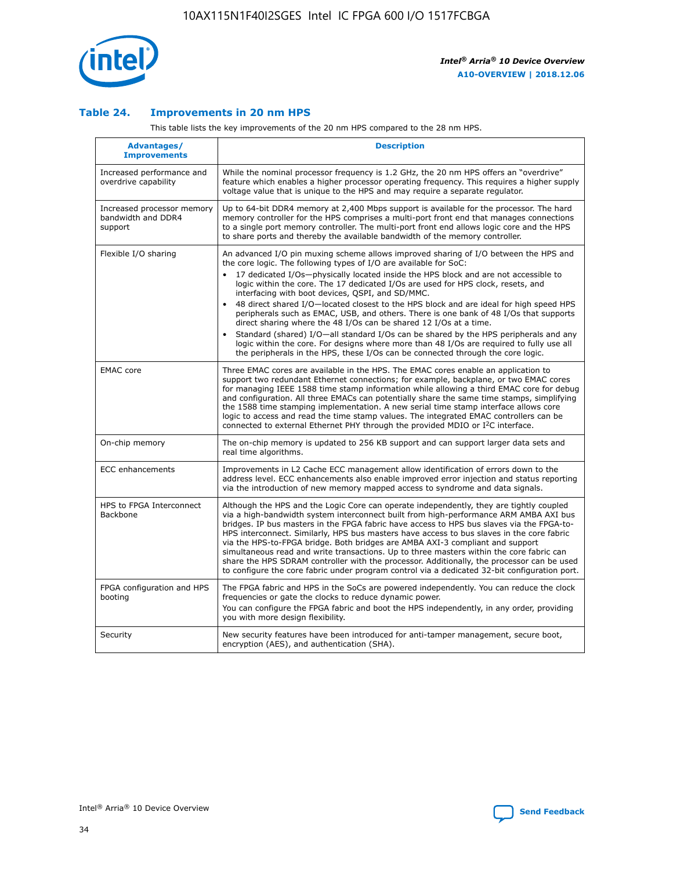

## **Table 24. Improvements in 20 nm HPS**

This table lists the key improvements of the 20 nm HPS compared to the 28 nm HPS.

| Advantages/<br><b>Improvements</b>                          | <b>Description</b>                                                                                                                                                                                                                                                                                                                                                                                                                                                                                                                                                                                                                                                                                                                                                                                                                                                                                                      |
|-------------------------------------------------------------|-------------------------------------------------------------------------------------------------------------------------------------------------------------------------------------------------------------------------------------------------------------------------------------------------------------------------------------------------------------------------------------------------------------------------------------------------------------------------------------------------------------------------------------------------------------------------------------------------------------------------------------------------------------------------------------------------------------------------------------------------------------------------------------------------------------------------------------------------------------------------------------------------------------------------|
| Increased performance and<br>overdrive capability           | While the nominal processor frequency is 1.2 GHz, the 20 nm HPS offers an "overdrive"<br>feature which enables a higher processor operating frequency. This requires a higher supply<br>voltage value that is unique to the HPS and may require a separate regulator.                                                                                                                                                                                                                                                                                                                                                                                                                                                                                                                                                                                                                                                   |
| Increased processor memory<br>bandwidth and DDR4<br>support | Up to 64-bit DDR4 memory at 2,400 Mbps support is available for the processor. The hard<br>memory controller for the HPS comprises a multi-port front end that manages connections<br>to a single port memory controller. The multi-port front end allows logic core and the HPS<br>to share ports and thereby the available bandwidth of the memory controller.                                                                                                                                                                                                                                                                                                                                                                                                                                                                                                                                                        |
| Flexible I/O sharing                                        | An advanced I/O pin muxing scheme allows improved sharing of I/O between the HPS and<br>the core logic. The following types of I/O are available for SoC:<br>17 dedicated I/Os-physically located inside the HPS block and are not accessible to<br>logic within the core. The 17 dedicated I/Os are used for HPS clock, resets, and<br>interfacing with boot devices, QSPI, and SD/MMC.<br>48 direct shared I/O-located closest to the HPS block and are ideal for high speed HPS<br>peripherals such as EMAC, USB, and others. There is one bank of 48 I/Os that supports<br>direct sharing where the 48 I/Os can be shared 12 I/Os at a time.<br>Standard (shared) I/O-all standard I/Os can be shared by the HPS peripherals and any<br>logic within the core. For designs where more than 48 I/Os are reguired to fully use all<br>the peripherals in the HPS, these I/Os can be connected through the core logic. |
| <b>EMAC</b> core                                            | Three EMAC cores are available in the HPS. The EMAC cores enable an application to<br>support two redundant Ethernet connections; for example, backplane, or two EMAC cores<br>for managing IEEE 1588 time stamp information while allowing a third EMAC core for debug<br>and configuration. All three EMACs can potentially share the same time stamps, simplifying<br>the 1588 time stamping implementation. A new serial time stamp interface allows core<br>logic to access and read the time stamp values. The integrated EMAC controllers can be<br>connected to external Ethernet PHY through the provided MDIO or I <sup>2</sup> C interface.                                                                                                                                                                                                                                                                  |
| On-chip memory                                              | The on-chip memory is updated to 256 KB support and can support larger data sets and<br>real time algorithms.                                                                                                                                                                                                                                                                                                                                                                                                                                                                                                                                                                                                                                                                                                                                                                                                           |
| <b>ECC</b> enhancements                                     | Improvements in L2 Cache ECC management allow identification of errors down to the<br>address level. ECC enhancements also enable improved error injection and status reporting<br>via the introduction of new memory mapped access to syndrome and data signals.                                                                                                                                                                                                                                                                                                                                                                                                                                                                                                                                                                                                                                                       |
| HPS to FPGA Interconnect<br>Backbone                        | Although the HPS and the Logic Core can operate independently, they are tightly coupled<br>via a high-bandwidth system interconnect built from high-performance ARM AMBA AXI bus<br>bridges. IP bus masters in the FPGA fabric have access to HPS bus slaves via the FPGA-to-<br>HPS interconnect. Similarly, HPS bus masters have access to bus slaves in the core fabric<br>via the HPS-to-FPGA bridge. Both bridges are AMBA AXI-3 compliant and support<br>simultaneous read and write transactions. Up to three masters within the core fabric can<br>share the HPS SDRAM controller with the processor. Additionally, the processor can be used<br>to configure the core fabric under program control via a dedicated 32-bit configuration port.                                                                                                                                                                  |
| FPGA configuration and HPS<br>booting                       | The FPGA fabric and HPS in the SoCs are powered independently. You can reduce the clock<br>frequencies or gate the clocks to reduce dynamic power.<br>You can configure the FPGA fabric and boot the HPS independently, in any order, providing<br>you with more design flexibility.                                                                                                                                                                                                                                                                                                                                                                                                                                                                                                                                                                                                                                    |
| Security                                                    | New security features have been introduced for anti-tamper management, secure boot,<br>encryption (AES), and authentication (SHA).                                                                                                                                                                                                                                                                                                                                                                                                                                                                                                                                                                                                                                                                                                                                                                                      |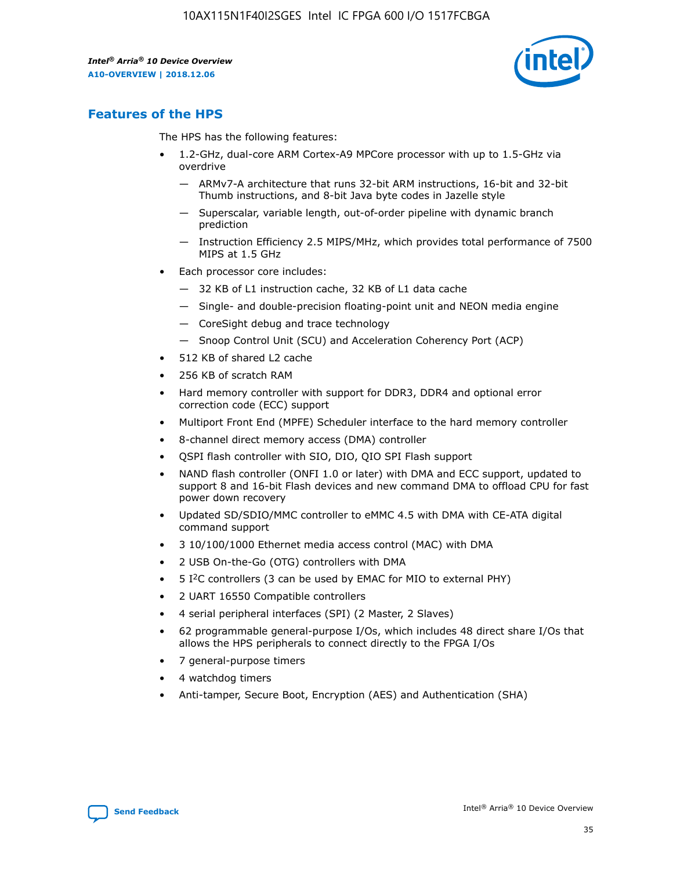

# **Features of the HPS**

The HPS has the following features:

- 1.2-GHz, dual-core ARM Cortex-A9 MPCore processor with up to 1.5-GHz via overdrive
	- ARMv7-A architecture that runs 32-bit ARM instructions, 16-bit and 32-bit Thumb instructions, and 8-bit Java byte codes in Jazelle style
	- Superscalar, variable length, out-of-order pipeline with dynamic branch prediction
	- Instruction Efficiency 2.5 MIPS/MHz, which provides total performance of 7500 MIPS at 1.5 GHz
- Each processor core includes:
	- 32 KB of L1 instruction cache, 32 KB of L1 data cache
	- Single- and double-precision floating-point unit and NEON media engine
	- CoreSight debug and trace technology
	- Snoop Control Unit (SCU) and Acceleration Coherency Port (ACP)
- 512 KB of shared L2 cache
- 256 KB of scratch RAM
- Hard memory controller with support for DDR3, DDR4 and optional error correction code (ECC) support
- Multiport Front End (MPFE) Scheduler interface to the hard memory controller
- 8-channel direct memory access (DMA) controller
- QSPI flash controller with SIO, DIO, QIO SPI Flash support
- NAND flash controller (ONFI 1.0 or later) with DMA and ECC support, updated to support 8 and 16-bit Flash devices and new command DMA to offload CPU for fast power down recovery
- Updated SD/SDIO/MMC controller to eMMC 4.5 with DMA with CE-ATA digital command support
- 3 10/100/1000 Ethernet media access control (MAC) with DMA
- 2 USB On-the-Go (OTG) controllers with DMA
- $\bullet$  5 I<sup>2</sup>C controllers (3 can be used by EMAC for MIO to external PHY)
- 2 UART 16550 Compatible controllers
- 4 serial peripheral interfaces (SPI) (2 Master, 2 Slaves)
- 62 programmable general-purpose I/Os, which includes 48 direct share I/Os that allows the HPS peripherals to connect directly to the FPGA I/Os
- 7 general-purpose timers
- 4 watchdog timers
- Anti-tamper, Secure Boot, Encryption (AES) and Authentication (SHA)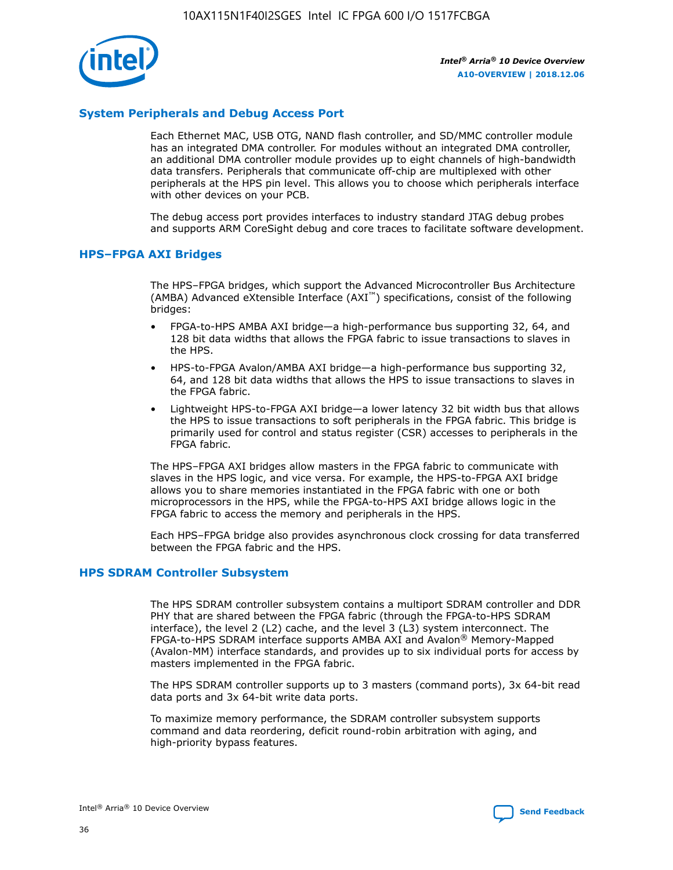

# **System Peripherals and Debug Access Port**

Each Ethernet MAC, USB OTG, NAND flash controller, and SD/MMC controller module has an integrated DMA controller. For modules without an integrated DMA controller, an additional DMA controller module provides up to eight channels of high-bandwidth data transfers. Peripherals that communicate off-chip are multiplexed with other peripherals at the HPS pin level. This allows you to choose which peripherals interface with other devices on your PCB.

The debug access port provides interfaces to industry standard JTAG debug probes and supports ARM CoreSight debug and core traces to facilitate software development.

## **HPS–FPGA AXI Bridges**

The HPS–FPGA bridges, which support the Advanced Microcontroller Bus Architecture (AMBA) Advanced eXtensible Interface (AXI™) specifications, consist of the following bridges:

- FPGA-to-HPS AMBA AXI bridge—a high-performance bus supporting 32, 64, and 128 bit data widths that allows the FPGA fabric to issue transactions to slaves in the HPS.
- HPS-to-FPGA Avalon/AMBA AXI bridge—a high-performance bus supporting 32, 64, and 128 bit data widths that allows the HPS to issue transactions to slaves in the FPGA fabric.
- Lightweight HPS-to-FPGA AXI bridge—a lower latency 32 bit width bus that allows the HPS to issue transactions to soft peripherals in the FPGA fabric. This bridge is primarily used for control and status register (CSR) accesses to peripherals in the FPGA fabric.

The HPS–FPGA AXI bridges allow masters in the FPGA fabric to communicate with slaves in the HPS logic, and vice versa. For example, the HPS-to-FPGA AXI bridge allows you to share memories instantiated in the FPGA fabric with one or both microprocessors in the HPS, while the FPGA-to-HPS AXI bridge allows logic in the FPGA fabric to access the memory and peripherals in the HPS.

Each HPS–FPGA bridge also provides asynchronous clock crossing for data transferred between the FPGA fabric and the HPS.

#### **HPS SDRAM Controller Subsystem**

The HPS SDRAM controller subsystem contains a multiport SDRAM controller and DDR PHY that are shared between the FPGA fabric (through the FPGA-to-HPS SDRAM interface), the level 2 (L2) cache, and the level 3 (L3) system interconnect. The FPGA-to-HPS SDRAM interface supports AMBA AXI and Avalon® Memory-Mapped (Avalon-MM) interface standards, and provides up to six individual ports for access by masters implemented in the FPGA fabric.

The HPS SDRAM controller supports up to 3 masters (command ports), 3x 64-bit read data ports and 3x 64-bit write data ports.

To maximize memory performance, the SDRAM controller subsystem supports command and data reordering, deficit round-robin arbitration with aging, and high-priority bypass features.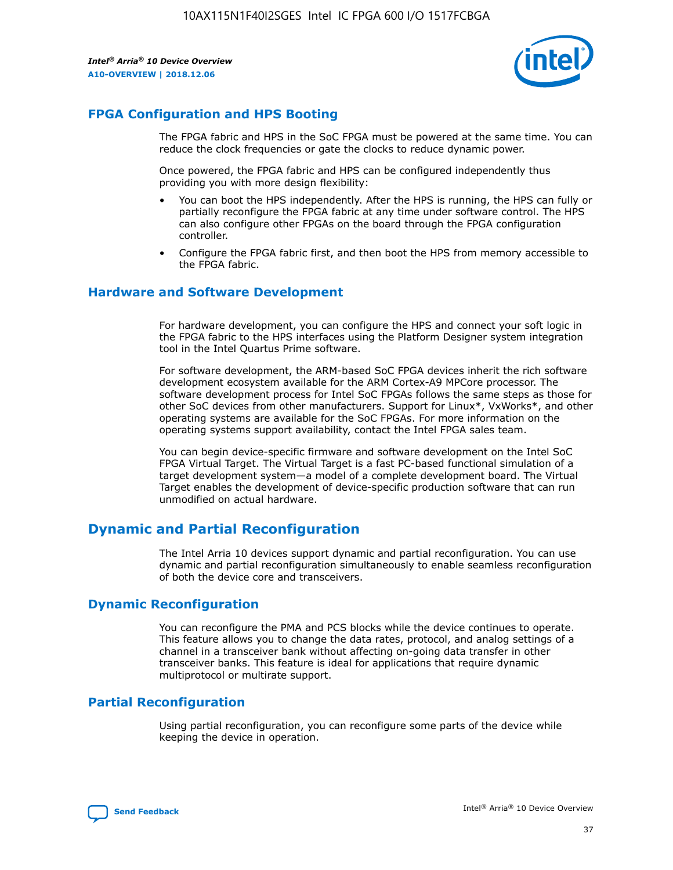

# **FPGA Configuration and HPS Booting**

The FPGA fabric and HPS in the SoC FPGA must be powered at the same time. You can reduce the clock frequencies or gate the clocks to reduce dynamic power.

Once powered, the FPGA fabric and HPS can be configured independently thus providing you with more design flexibility:

- You can boot the HPS independently. After the HPS is running, the HPS can fully or partially reconfigure the FPGA fabric at any time under software control. The HPS can also configure other FPGAs on the board through the FPGA configuration controller.
- Configure the FPGA fabric first, and then boot the HPS from memory accessible to the FPGA fabric.

## **Hardware and Software Development**

For hardware development, you can configure the HPS and connect your soft logic in the FPGA fabric to the HPS interfaces using the Platform Designer system integration tool in the Intel Quartus Prime software.

For software development, the ARM-based SoC FPGA devices inherit the rich software development ecosystem available for the ARM Cortex-A9 MPCore processor. The software development process for Intel SoC FPGAs follows the same steps as those for other SoC devices from other manufacturers. Support for Linux\*, VxWorks\*, and other operating systems are available for the SoC FPGAs. For more information on the operating systems support availability, contact the Intel FPGA sales team.

You can begin device-specific firmware and software development on the Intel SoC FPGA Virtual Target. The Virtual Target is a fast PC-based functional simulation of a target development system—a model of a complete development board. The Virtual Target enables the development of device-specific production software that can run unmodified on actual hardware.

# **Dynamic and Partial Reconfiguration**

The Intel Arria 10 devices support dynamic and partial reconfiguration. You can use dynamic and partial reconfiguration simultaneously to enable seamless reconfiguration of both the device core and transceivers.

# **Dynamic Reconfiguration**

You can reconfigure the PMA and PCS blocks while the device continues to operate. This feature allows you to change the data rates, protocol, and analog settings of a channel in a transceiver bank without affecting on-going data transfer in other transceiver banks. This feature is ideal for applications that require dynamic multiprotocol or multirate support.

# **Partial Reconfiguration**

Using partial reconfiguration, you can reconfigure some parts of the device while keeping the device in operation.

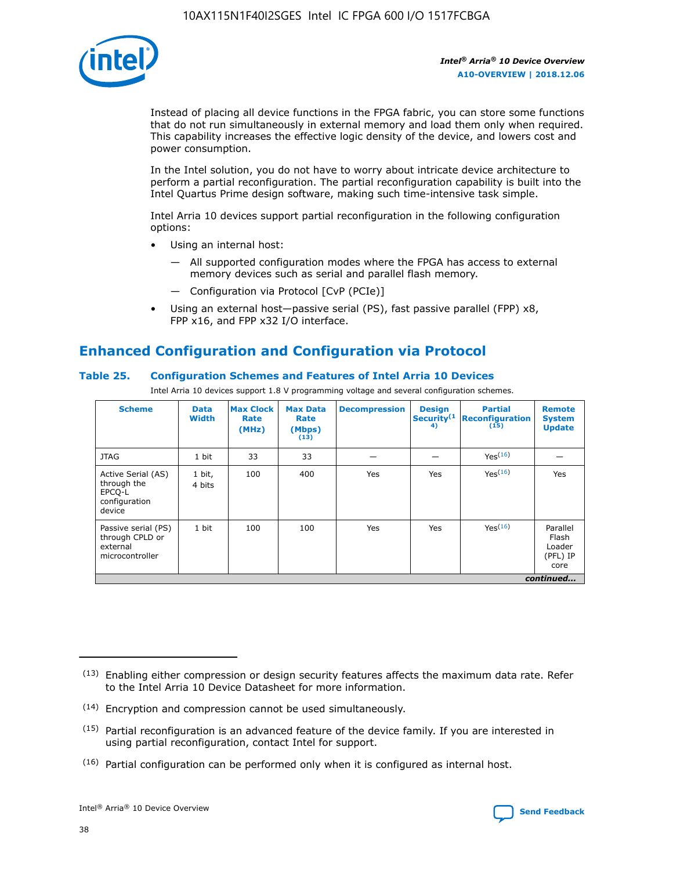

Instead of placing all device functions in the FPGA fabric, you can store some functions that do not run simultaneously in external memory and load them only when required. This capability increases the effective logic density of the device, and lowers cost and power consumption.

In the Intel solution, you do not have to worry about intricate device architecture to perform a partial reconfiguration. The partial reconfiguration capability is built into the Intel Quartus Prime design software, making such time-intensive task simple.

Intel Arria 10 devices support partial reconfiguration in the following configuration options:

- Using an internal host:
	- All supported configuration modes where the FPGA has access to external memory devices such as serial and parallel flash memory.
	- Configuration via Protocol [CvP (PCIe)]
- Using an external host—passive serial (PS), fast passive parallel (FPP) x8, FPP x16, and FPP x32 I/O interface.

# **Enhanced Configuration and Configuration via Protocol**

# **Table 25. Configuration Schemes and Features of Intel Arria 10 Devices**

Intel Arria 10 devices support 1.8 V programming voltage and several configuration schemes.

| <b>Scheme</b>                                                          | <b>Data</b><br><b>Width</b> | <b>Max Clock</b><br>Rate<br>(MHz) | <b>Max Data</b><br>Rate<br>(Mbps)<br>(13) | <b>Decompression</b> | <b>Design</b><br>Security <sup>(1</sup><br>4) | <b>Partial</b><br>Reconfiguration<br>(15) | <b>Remote</b><br><b>System</b><br><b>Update</b> |
|------------------------------------------------------------------------|-----------------------------|-----------------------------------|-------------------------------------------|----------------------|-----------------------------------------------|-------------------------------------------|-------------------------------------------------|
| <b>JTAG</b>                                                            | 1 bit                       | 33                                | 33                                        |                      |                                               | Yes <sup>(16)</sup>                       |                                                 |
| Active Serial (AS)<br>through the<br>EPCO-L<br>configuration<br>device | 1 bit,<br>4 bits            | 100                               | 400                                       | Yes                  | Yes                                           | $Y_{PS}(16)$                              | Yes                                             |
| Passive serial (PS)<br>through CPLD or<br>external<br>microcontroller  | 1 bit                       | 100                               | 100                                       | Yes                  | Yes                                           | Yes(16)                                   | Parallel<br>Flash<br>Loader<br>(PFL) IP<br>core |
|                                                                        | continued                   |                                   |                                           |                      |                                               |                                           |                                                 |

<sup>(13)</sup> Enabling either compression or design security features affects the maximum data rate. Refer to the Intel Arria 10 Device Datasheet for more information.

<sup>(14)</sup> Encryption and compression cannot be used simultaneously.

 $<sup>(15)</sup>$  Partial reconfiguration is an advanced feature of the device family. If you are interested in</sup> using partial reconfiguration, contact Intel for support.

 $(16)$  Partial configuration can be performed only when it is configured as internal host.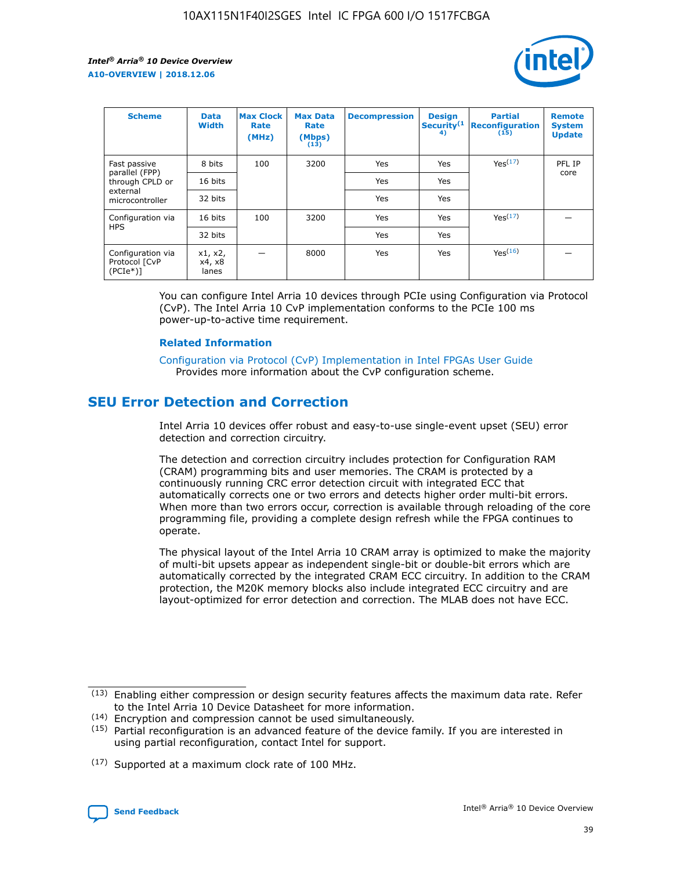

| <b>Scheme</b>                                   | <b>Data</b><br><b>Width</b> | <b>Max Clock</b><br>Rate<br>(MHz) | <b>Max Data</b><br>Rate<br>(Mbps)<br>(13) | <b>Decompression</b> | <b>Design</b><br>Security <sup>(1</sup><br>4) | <b>Partial</b><br><b>Reconfiguration</b><br>(15) | <b>Remote</b><br><b>System</b><br><b>Update</b> |
|-------------------------------------------------|-----------------------------|-----------------------------------|-------------------------------------------|----------------------|-----------------------------------------------|--------------------------------------------------|-------------------------------------------------|
| Fast passive                                    | 8 bits                      | 100                               | 3200                                      | Yes                  | Yes                                           | Yes(17)                                          | PFL IP                                          |
| parallel (FPP)<br>through CPLD or               | 16 bits                     |                                   |                                           | Yes                  | Yes                                           |                                                  | core                                            |
| external<br>microcontroller                     | 32 bits                     |                                   |                                           | Yes                  | Yes                                           |                                                  |                                                 |
| Configuration via                               | 16 bits                     | 100                               | 3200                                      | Yes                  | Yes                                           | Yes <sup>(17)</sup>                              |                                                 |
| <b>HPS</b>                                      | 32 bits                     |                                   |                                           | Yes                  | Yes                                           |                                                  |                                                 |
| Configuration via<br>Protocol [CvP<br>$(PCIe*)$ | x1, x2,<br>x4, x8<br>lanes  |                                   | 8000                                      | Yes                  | Yes                                           | Yes(16)                                          |                                                 |

You can configure Intel Arria 10 devices through PCIe using Configuration via Protocol (CvP). The Intel Arria 10 CvP implementation conforms to the PCIe 100 ms power-up-to-active time requirement.

#### **Related Information**

[Configuration via Protocol \(CvP\) Implementation in Intel FPGAs User Guide](https://www.intel.com/content/www/us/en/programmable/documentation/dsu1441819344145.html#dsu1442269728522) Provides more information about the CvP configuration scheme.

# **SEU Error Detection and Correction**

Intel Arria 10 devices offer robust and easy-to-use single-event upset (SEU) error detection and correction circuitry.

The detection and correction circuitry includes protection for Configuration RAM (CRAM) programming bits and user memories. The CRAM is protected by a continuously running CRC error detection circuit with integrated ECC that automatically corrects one or two errors and detects higher order multi-bit errors. When more than two errors occur, correction is available through reloading of the core programming file, providing a complete design refresh while the FPGA continues to operate.

The physical layout of the Intel Arria 10 CRAM array is optimized to make the majority of multi-bit upsets appear as independent single-bit or double-bit errors which are automatically corrected by the integrated CRAM ECC circuitry. In addition to the CRAM protection, the M20K memory blocks also include integrated ECC circuitry and are layout-optimized for error detection and correction. The MLAB does not have ECC.

<sup>(17)</sup> Supported at a maximum clock rate of 100 MHz.



 $(13)$  Enabling either compression or design security features affects the maximum data rate. Refer to the Intel Arria 10 Device Datasheet for more information.

<sup>(14)</sup> Encryption and compression cannot be used simultaneously.

 $(15)$  Partial reconfiguration is an advanced feature of the device family. If you are interested in using partial reconfiguration, contact Intel for support.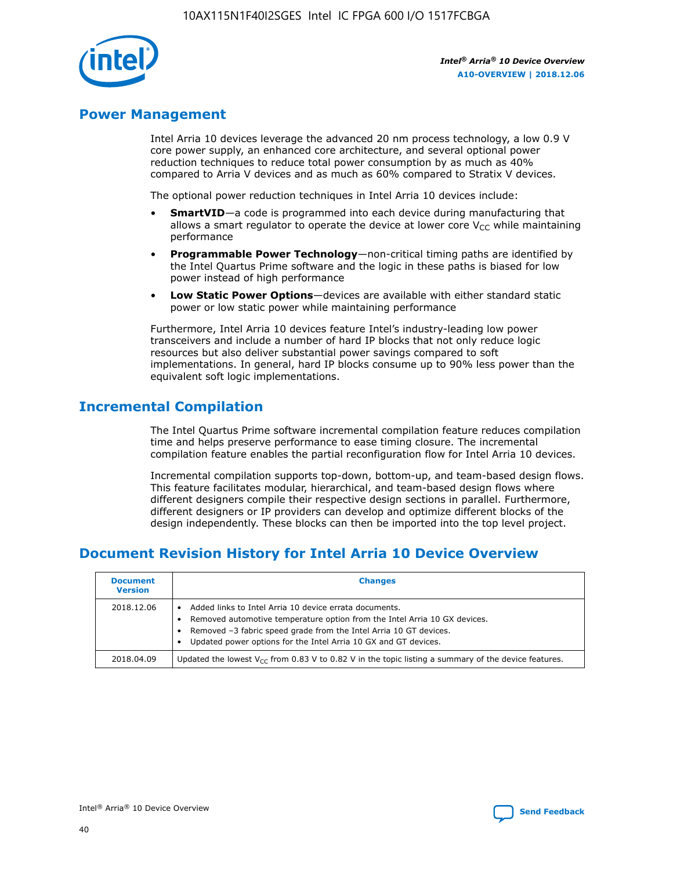

# **Power Management**

Intel Arria 10 devices leverage the advanced 20 nm process technology, a low 0.9 V core power supply, an enhanced core architecture, and several optional power reduction techniques to reduce total power consumption by as much as 40% compared to Arria V devices and as much as 60% compared to Stratix V devices.

The optional power reduction techniques in Intel Arria 10 devices include:

- **SmartVID**—a code is programmed into each device during manufacturing that allows a smart regulator to operate the device at lower core  $V_{CC}$  while maintaining performance
- **Programmable Power Technology**—non-critical timing paths are identified by the Intel Quartus Prime software and the logic in these paths is biased for low power instead of high performance
- **Low Static Power Options**—devices are available with either standard static power or low static power while maintaining performance

Furthermore, Intel Arria 10 devices feature Intel's industry-leading low power transceivers and include a number of hard IP blocks that not only reduce logic resources but also deliver substantial power savings compared to soft implementations. In general, hard IP blocks consume up to 90% less power than the equivalent soft logic implementations.

# **Incremental Compilation**

The Intel Quartus Prime software incremental compilation feature reduces compilation time and helps preserve performance to ease timing closure. The incremental compilation feature enables the partial reconfiguration flow for Intel Arria 10 devices.

Incremental compilation supports top-down, bottom-up, and team-based design flows. This feature facilitates modular, hierarchical, and team-based design flows where different designers compile their respective design sections in parallel. Furthermore, different designers or IP providers can develop and optimize different blocks of the design independently. These blocks can then be imported into the top level project.

# **Document Revision History for Intel Arria 10 Device Overview**

| <b>Document</b><br><b>Version</b> | <b>Changes</b>                                                                                                                                                                                                                                                              |
|-----------------------------------|-----------------------------------------------------------------------------------------------------------------------------------------------------------------------------------------------------------------------------------------------------------------------------|
| 2018.12.06                        | Added links to Intel Arria 10 device errata documents.<br>Removed automotive temperature option from the Intel Arria 10 GX devices.<br>Removed -3 fabric speed grade from the Intel Arria 10 GT devices.<br>Updated power options for the Intel Arria 10 GX and GT devices. |
| 2018.04.09                        | Updated the lowest $V_{CC}$ from 0.83 V to 0.82 V in the topic listing a summary of the device features.                                                                                                                                                                    |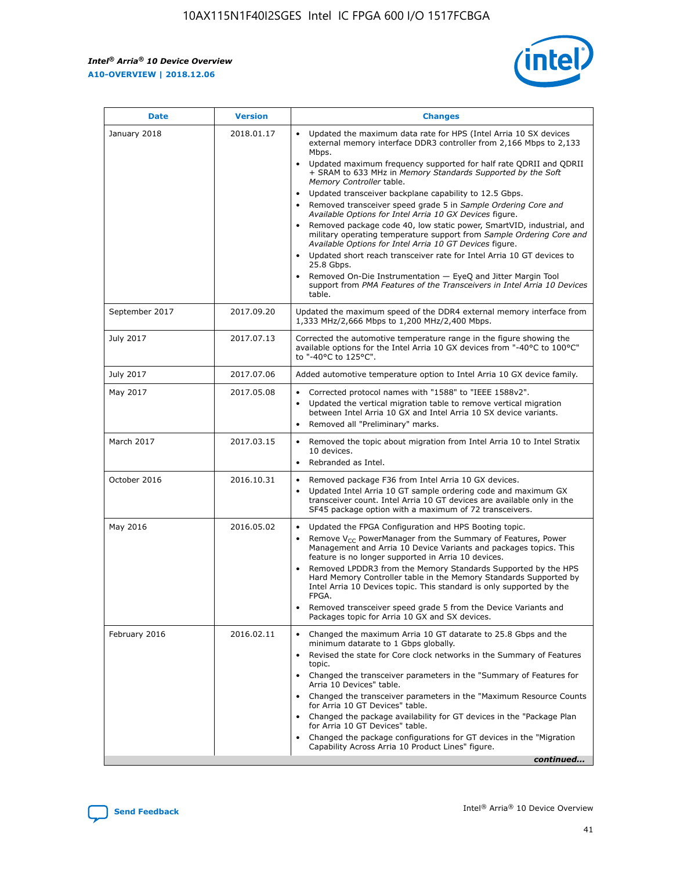*Intel® Arria® 10 Device Overview* **A10-OVERVIEW | 2018.12.06**



| <b>Date</b>    | <b>Version</b> | <b>Changes</b>                                                                                                                                                                                                                                                                                                                                                                                                                                                                                                                                                                                                                                                                                                                                                                                                                                                                                                                                                            |
|----------------|----------------|---------------------------------------------------------------------------------------------------------------------------------------------------------------------------------------------------------------------------------------------------------------------------------------------------------------------------------------------------------------------------------------------------------------------------------------------------------------------------------------------------------------------------------------------------------------------------------------------------------------------------------------------------------------------------------------------------------------------------------------------------------------------------------------------------------------------------------------------------------------------------------------------------------------------------------------------------------------------------|
| January 2018   | 2018.01.17     | Updated the maximum data rate for HPS (Intel Arria 10 SX devices<br>external memory interface DDR3 controller from 2,166 Mbps to 2,133<br>Mbps.<br>Updated maximum frequency supported for half rate QDRII and QDRII<br>+ SRAM to 633 MHz in Memory Standards Supported by the Soft<br>Memory Controller table.<br>Updated transceiver backplane capability to 12.5 Gbps.<br>$\bullet$<br>Removed transceiver speed grade 5 in Sample Ordering Core and<br>Available Options for Intel Arria 10 GX Devices figure.<br>Removed package code 40, low static power, SmartVID, industrial, and<br>military operating temperature support from Sample Ordering Core and<br>Available Options for Intel Arria 10 GT Devices figure.<br>Updated short reach transceiver rate for Intel Arria 10 GT devices to<br>25.8 Gbps.<br>Removed On-Die Instrumentation - EyeQ and Jitter Margin Tool<br>support from PMA Features of the Transceivers in Intel Arria 10 Devices<br>table. |
| September 2017 | 2017.09.20     | Updated the maximum speed of the DDR4 external memory interface from<br>1,333 MHz/2,666 Mbps to 1,200 MHz/2,400 Mbps.                                                                                                                                                                                                                                                                                                                                                                                                                                                                                                                                                                                                                                                                                                                                                                                                                                                     |
| July 2017      | 2017.07.13     | Corrected the automotive temperature range in the figure showing the<br>available options for the Intel Arria 10 GX devices from "-40°C to 100°C"<br>to "-40°C to 125°C".                                                                                                                                                                                                                                                                                                                                                                                                                                                                                                                                                                                                                                                                                                                                                                                                 |
| July 2017      | 2017.07.06     | Added automotive temperature option to Intel Arria 10 GX device family.                                                                                                                                                                                                                                                                                                                                                                                                                                                                                                                                                                                                                                                                                                                                                                                                                                                                                                   |
| May 2017       | 2017.05.08     | Corrected protocol names with "1588" to "IEEE 1588v2".<br>$\bullet$<br>Updated the vertical migration table to remove vertical migration<br>$\bullet$<br>between Intel Arria 10 GX and Intel Arria 10 SX device variants.<br>Removed all "Preliminary" marks.<br>$\bullet$                                                                                                                                                                                                                                                                                                                                                                                                                                                                                                                                                                                                                                                                                                |
| March 2017     | 2017.03.15     | Removed the topic about migration from Intel Arria 10 to Intel Stratix<br>10 devices.<br>Rebranded as Intel.<br>$\bullet$                                                                                                                                                                                                                                                                                                                                                                                                                                                                                                                                                                                                                                                                                                                                                                                                                                                 |
| October 2016   | 2016.10.31     | Removed package F36 from Intel Arria 10 GX devices.<br>Updated Intel Arria 10 GT sample ordering code and maximum GX<br>$\bullet$<br>transceiver count. Intel Arria 10 GT devices are available only in the<br>SF45 package option with a maximum of 72 transceivers.                                                                                                                                                                                                                                                                                                                                                                                                                                                                                                                                                                                                                                                                                                     |
| May 2016       | 2016.05.02     | Updated the FPGA Configuration and HPS Booting topic.<br>$\bullet$<br>Remove V <sub>CC</sub> PowerManager from the Summary of Features, Power<br>Management and Arria 10 Device Variants and packages topics. This<br>feature is no longer supported in Arria 10 devices.<br>Removed LPDDR3 from the Memory Standards Supported by the HPS<br>Hard Memory Controller table in the Memory Standards Supported by<br>Intel Arria 10 Devices topic. This standard is only supported by the<br>FPGA.<br>Removed transceiver speed grade 5 from the Device Variants and<br>Packages topic for Arria 10 GX and SX devices.                                                                                                                                                                                                                                                                                                                                                      |
| February 2016  | 2016.02.11     | Changed the maximum Arria 10 GT datarate to 25.8 Gbps and the<br>minimum datarate to 1 Gbps globally.<br>Revised the state for Core clock networks in the Summary of Features<br>$\bullet$<br>topic.<br>Changed the transceiver parameters in the "Summary of Features for<br>$\bullet$<br>Arria 10 Devices" table.<br>• Changed the transceiver parameters in the "Maximum Resource Counts<br>for Arria 10 GT Devices" table.<br>Changed the package availability for GT devices in the "Package Plan<br>for Arria 10 GT Devices" table.<br>Changed the package configurations for GT devices in the "Migration"<br>Capability Across Arria 10 Product Lines" figure.<br>continued                                                                                                                                                                                                                                                                                       |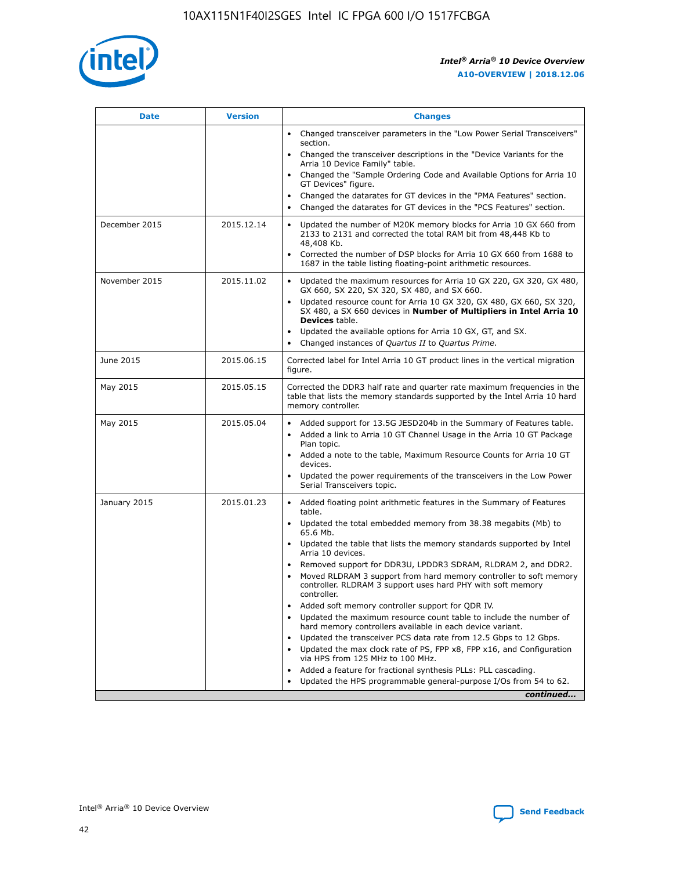

| <b>Date</b>   | <b>Version</b> | <b>Changes</b>                                                                                                                                                               |
|---------------|----------------|------------------------------------------------------------------------------------------------------------------------------------------------------------------------------|
|               |                | • Changed transceiver parameters in the "Low Power Serial Transceivers"<br>section.                                                                                          |
|               |                | • Changed the transceiver descriptions in the "Device Variants for the<br>Arria 10 Device Family" table.                                                                     |
|               |                | Changed the "Sample Ordering Code and Available Options for Arria 10<br>$\bullet$<br>GT Devices" figure.                                                                     |
|               |                | Changed the datarates for GT devices in the "PMA Features" section.                                                                                                          |
|               |                | Changed the datarates for GT devices in the "PCS Features" section.<br>$\bullet$                                                                                             |
| December 2015 | 2015.12.14     | Updated the number of M20K memory blocks for Arria 10 GX 660 from<br>2133 to 2131 and corrected the total RAM bit from 48,448 Kb to<br>48,408 Kb.                            |
|               |                | Corrected the number of DSP blocks for Arria 10 GX 660 from 1688 to<br>1687 in the table listing floating-point arithmetic resources.                                        |
| November 2015 | 2015.11.02     | Updated the maximum resources for Arria 10 GX 220, GX 320, GX 480,<br>$\bullet$<br>GX 660, SX 220, SX 320, SX 480, and SX 660.                                               |
|               |                | • Updated resource count for Arria 10 GX 320, GX 480, GX 660, SX 320,<br>SX 480, a SX 660 devices in Number of Multipliers in Intel Arria 10<br><b>Devices</b> table.        |
|               |                | Updated the available options for Arria 10 GX, GT, and SX.                                                                                                                   |
|               |                | Changed instances of Quartus II to Quartus Prime.<br>$\bullet$                                                                                                               |
| June 2015     | 2015.06.15     | Corrected label for Intel Arria 10 GT product lines in the vertical migration<br>figure.                                                                                     |
| May 2015      | 2015.05.15     | Corrected the DDR3 half rate and quarter rate maximum frequencies in the<br>table that lists the memory standards supported by the Intel Arria 10 hard<br>memory controller. |
| May 2015      | 2015.05.04     | • Added support for 13.5G JESD204b in the Summary of Features table.                                                                                                         |
|               |                | • Added a link to Arria 10 GT Channel Usage in the Arria 10 GT Package<br>Plan topic.                                                                                        |
|               |                | • Added a note to the table, Maximum Resource Counts for Arria 10 GT<br>devices.                                                                                             |
|               |                | • Updated the power requirements of the transceivers in the Low Power<br>Serial Transceivers topic.                                                                          |
| January 2015  | 2015.01.23     | • Added floating point arithmetic features in the Summary of Features<br>table.                                                                                              |
|               |                | • Updated the total embedded memory from 38.38 megabits (Mb) to<br>65.6 Mb.                                                                                                  |
|               |                | • Updated the table that lists the memory standards supported by Intel<br>Arria 10 devices.                                                                                  |
|               |                | Removed support for DDR3U, LPDDR3 SDRAM, RLDRAM 2, and DDR2.                                                                                                                 |
|               |                | Moved RLDRAM 3 support from hard memory controller to soft memory<br>controller. RLDRAM 3 support uses hard PHY with soft memory<br>controller.                              |
|               |                | Added soft memory controller support for QDR IV.<br>٠                                                                                                                        |
|               |                | Updated the maximum resource count table to include the number of<br>hard memory controllers available in each device variant.                                               |
|               |                | Updated the transceiver PCS data rate from 12.5 Gbps to 12 Gbps.<br>$\bullet$                                                                                                |
|               |                | Updated the max clock rate of PS, FPP x8, FPP x16, and Configuration<br>via HPS from 125 MHz to 100 MHz.                                                                     |
|               |                | Added a feature for fractional synthesis PLLs: PLL cascading.                                                                                                                |
|               |                | Updated the HPS programmable general-purpose I/Os from 54 to 62.<br>$\bullet$                                                                                                |
|               |                | continued                                                                                                                                                                    |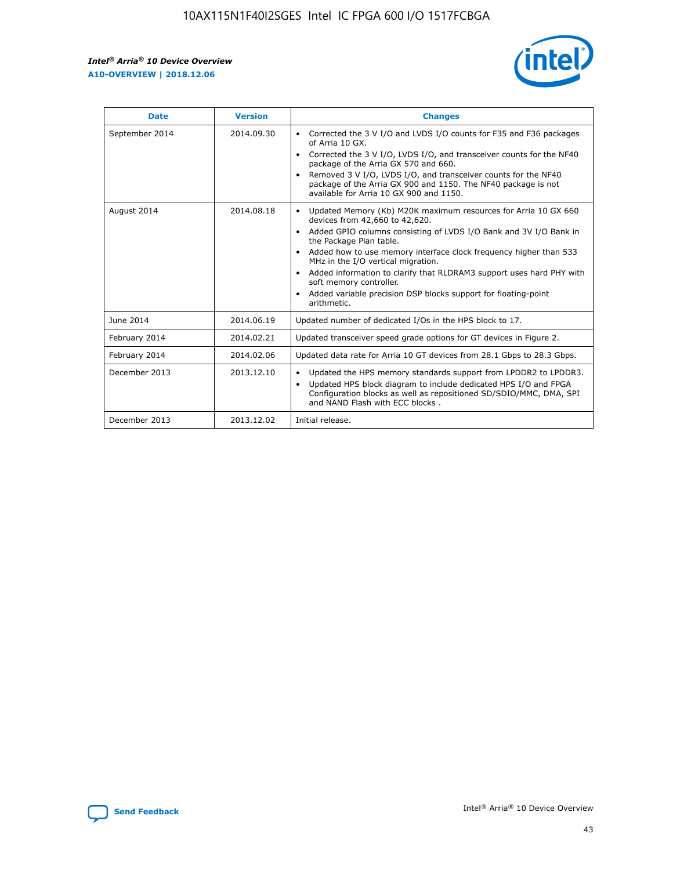r



| <b>Date</b>    | <b>Version</b> | <b>Changes</b>                                                                                                                                                                                                                                                                                                                                                                                                                                                                                                                                      |
|----------------|----------------|-----------------------------------------------------------------------------------------------------------------------------------------------------------------------------------------------------------------------------------------------------------------------------------------------------------------------------------------------------------------------------------------------------------------------------------------------------------------------------------------------------------------------------------------------------|
| September 2014 | 2014.09.30     | Corrected the 3 V I/O and LVDS I/O counts for F35 and F36 packages<br>$\bullet$<br>of Arria 10 GX.<br>Corrected the 3 V I/O, LVDS I/O, and transceiver counts for the NF40<br>$\bullet$<br>package of the Arria GX 570 and 660.<br>Removed 3 V I/O, LVDS I/O, and transceiver counts for the NF40<br>$\bullet$<br>package of the Arria GX 900 and 1150. The NF40 package is not<br>available for Arria 10 GX 900 and 1150.                                                                                                                          |
| August 2014    | 2014.08.18     | Updated Memory (Kb) M20K maximum resources for Arria 10 GX 660<br>devices from 42,660 to 42,620.<br>Added GPIO columns consisting of LVDS I/O Bank and 3V I/O Bank in<br>$\bullet$<br>the Package Plan table.<br>Added how to use memory interface clock frequency higher than 533<br>$\bullet$<br>MHz in the I/O vertical migration.<br>Added information to clarify that RLDRAM3 support uses hard PHY with<br>$\bullet$<br>soft memory controller.<br>Added variable precision DSP blocks support for floating-point<br>$\bullet$<br>arithmetic. |
| June 2014      | 2014.06.19     | Updated number of dedicated I/Os in the HPS block to 17.                                                                                                                                                                                                                                                                                                                                                                                                                                                                                            |
| February 2014  | 2014.02.21     | Updated transceiver speed grade options for GT devices in Figure 2.                                                                                                                                                                                                                                                                                                                                                                                                                                                                                 |
| February 2014  | 2014.02.06     | Updated data rate for Arria 10 GT devices from 28.1 Gbps to 28.3 Gbps.                                                                                                                                                                                                                                                                                                                                                                                                                                                                              |
| December 2013  | 2013.12.10     | Updated the HPS memory standards support from LPDDR2 to LPDDR3.<br>$\bullet$<br>Updated HPS block diagram to include dedicated HPS I/O and FPGA<br>$\bullet$<br>Configuration blocks as well as repositioned SD/SDIO/MMC, DMA, SPI<br>and NAND Flash with ECC blocks.                                                                                                                                                                                                                                                                               |
| December 2013  | 2013.12.02     | Initial release.                                                                                                                                                                                                                                                                                                                                                                                                                                                                                                                                    |